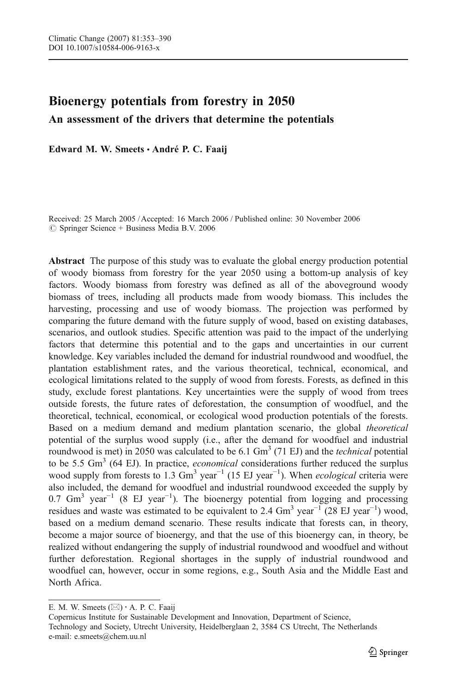# Bioenergy potentials from forestry in 2050 An assessment of the drivers that determine the potentials

Edward M. W. Smeets · André P. C. Faaij

Received: 25 March 2005 / Accepted: 16 March 2006 / Published online: 30 November 2006  $\oslash$  Springer Science + Business Media B.V. 2006

Abstract The purpose of this study was to evaluate the global energy production potential of woody biomass from forestry for the year 2050 using a bottom-up analysis of key factors. Woody biomass from forestry was defined as all of the aboveground woody biomass of trees, including all products made from woody biomass. This includes the harvesting, processing and use of woody biomass. The projection was performed by comparing the future demand with the future supply of wood, based on existing databases, scenarios, and outlook studies. Specific attention was paid to the impact of the underlying factors that determine this potential and to the gaps and uncertainties in our current knowledge. Key variables included the demand for industrial roundwood and woodfuel, the plantation establishment rates, and the various theoretical, technical, economical, and ecological limitations related to the supply of wood from forests. Forests, as defined in this study, exclude forest plantations. Key uncertainties were the supply of wood from trees outside forests, the future rates of deforestation, the consumption of woodfuel, and the theoretical, technical, economical, or ecological wood production potentials of the forests. Based on a medium demand and medium plantation scenario, the global theoretical potential of the surplus wood supply (i.e., after the demand for woodfuel and industrial roundwood is met) in 2050 was calculated to be 6.1 Gm<sup>3</sup> (71 EJ) and the *technical* potential to be 5.5  $\text{Gm}^3$  (64 EJ). In practice, *economical* considerations further reduced the surplus wood supply from forests to 1.3 Gm<sup>3</sup> year<sup>-1</sup> (15 EJ year<sup>-1</sup>). When *ecological* criteria were also included, the demand for woodfuel and industrial roundwood exceeded the supply by 0.7 Gm<sup>3</sup> year<sup>-1</sup> (8 EJ year<sup>-1</sup>). The bioenergy potential from logging and processing residues and waste was estimated to be equivalent to 2.4  $\text{Gm}^3$  year<sup>-1</sup> (28 EJ year<sup>-1</sup>) wood, based on a medium demand scenario. These results indicate that forests can, in theory, become a major source of bioenergy, and that the use of this bioenergy can, in theory, be realized without endangering the supply of industrial roundwood and woodfuel and without further deforestation. Regional shortages in the supply of industrial roundwood and woodfuel can, however, occur in some regions, e.g., South Asia and the Middle East and North Africa.

E. M. W. Smeets  $(\boxtimes) \cdot A$ . P. C. Faaij

Copernicus Institute for Sustainable Development and Innovation, Department of Science, Technology and Society, Utrecht University, Heidelberglaan 2, 3584 CS Utrecht, The Netherlands e-mail: e.smeets@chem.uu.nl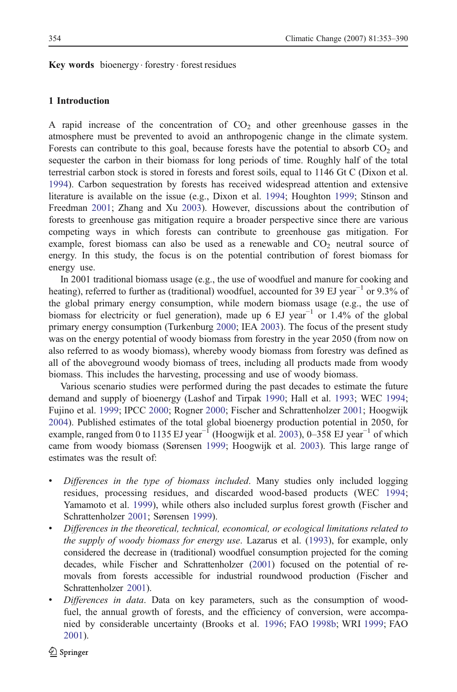Key words bioenergy . forestry . forest residues

## 1 Introduction

A rapid increase of the concentration of  $CO<sub>2</sub>$  and other greenhouse gasses in the atmosphere must be prevented to avoid an anthropogenic change in the climate system. Forests can contribute to this goal, because forests have the potential to absorb  $CO<sub>2</sub>$  and sequester the carbon in their biomass for long periods of time. Roughly half of the total terrestrial carbon stock is stored in forests and forest soils, equal to 1146 Gt C (Dixon et al. [1994\)](#page-35-0). Carbon sequestration by forests has received widespread attention and extensive literature is available on the issue (e.g., Dixon et al. [1994](#page-35-0); Houghton [1999;](#page-36-0) Stinson and Freedman [2001](#page-37-0); Zhang and Xu [2003\)](#page-37-0). However, discussions about the contribution of forests to greenhouse gas mitigation require a broader perspective since there are various competing ways in which forests can contribute to greenhouse gas mitigation. For example, forest biomass can also be used as a renewable and  $CO<sub>2</sub>$  neutral source of energy. In this study, the focus is on the potential contribution of forest biomass for energy use.

In 2001 traditional biomass usage (e.g., the use of woodfuel and manure for cooking and heating), referred to further as (traditional) woodfuel, accounted for 39 EJ year<sup>-1</sup> or 9.3% of the global primary energy consumption, while modern biomass usage (e.g., the use of biomass for electricity or fuel generation), made up 6 EJ year<sup>-1</sup> or 1.4% of the global primary energy consumption (Turkenburg [2000](#page-37-0); IEA [2003\)](#page-36-0). The focus of the present study was on the energy potential of woody biomass from forestry in the year 2050 (from now on also referred to as woody biomass), whereby woody biomass from forestry was defined as all of the aboveground woody biomass of trees, including all products made from woody biomass. This includes the harvesting, processing and use of woody biomass.

Various scenario studies were performed during the past decades to estimate the future demand and supply of bioenergy (Lashof and Tirpak [1990;](#page-36-0) Hall et al. [1993;](#page-35-0) WEC [1994](#page-37-0); Fujino et al. [1999](#page-35-0); IPCC [2000](#page-36-0); Rogner [2000;](#page-36-0) Fischer and Schrattenholzer [2001](#page-35-0); Hoogwijk [2004\)](#page-36-0). Published estimates of the total global bioenergy production potential in 2050, for example, ranged from 0 to 1135 EJ year<sup>-1</sup> (Hoogwijk et al. [2003](#page-36-0)), 0–358 EJ year<sup>-1</sup> of which came from woody biomass (Sørensen [1999](#page-37-0); Hoogwijk et al. [2003\)](#page-36-0). This large range of estimates was the result of:

- Differences in the type of biomass included. Many studies only included logging residues, processing residues, and discarded wood-based products (WEC [1994](#page-37-0); Yamamoto et al. [1999\)](#page-37-0), while others also included surplus forest growth (Fischer and Schrattenholzer [2001;](#page-35-0) Sørensen [1999](#page-37-0)).
- Differences in the theoretical, technical, economical, or ecological limitations related to the supply of woody biomass for energy use. Lazarus et al. ([1993\)](#page-36-0), for example, only considered the decrease in (traditional) woodfuel consumption projected for the coming decades, while Fischer and Schrattenholzer ([2001](#page-35-0)) focused on the potential of removals from forests accessible for industrial roundwood production (Fischer and Schrattenholzer [2001\)](#page-35-0).
- Differences in data. Data on key parameters, such as the consumption of woodfuel, the annual growth of forests, and the efficiency of conversion, were accompanied by considerable uncertainty (Brooks et al. [1996](#page-35-0); FAO [1998b](#page-35-0); WRI [1999;](#page-37-0) FAO [2001](#page-35-0)).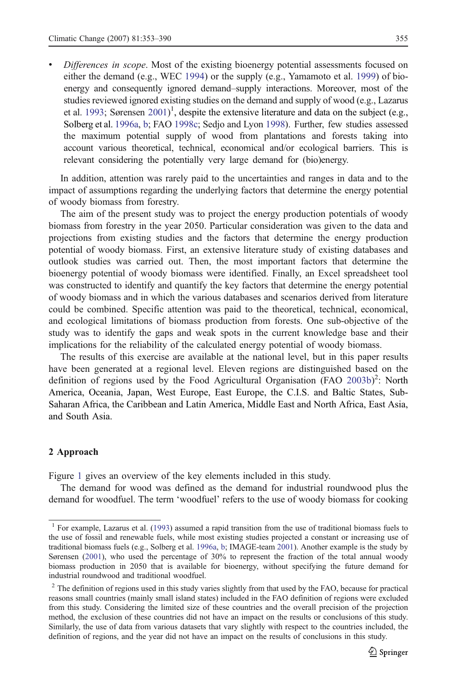Differences in scope. Most of the existing bioenergy potential assessments focused on either the demand (e.g., WEC [1994\)](#page-37-0) or the supply (e.g., Yamamoto et al. [1999\)](#page-37-0) of bioenergy and consequently ignored demand–supply interactions. Moreover, most of the studies reviewed ignored existing studies on the demand and supply of wood (e.g., Lazarus et al. [1993](#page-36-0); Sørensen [2001](#page-37-0))<sup>1</sup>, despite the extensive literature and data on the subject (e.g., Solberg et al. [1996a](#page-37-0), [b](#page-37-0); FAO [1998c](#page-35-0); Sedjo and Lyon [1998](#page-36-0)). Further, few studies assessed the maximum potential supply of wood from plantations and forests taking into account various theoretical, technical, economical and/or ecological barriers. This is relevant considering the potentially very large demand for (bio)energy.

In addition, attention was rarely paid to the uncertainties and ranges in data and to the impact of assumptions regarding the underlying factors that determine the energy potential of woody biomass from forestry.

The aim of the present study was to project the energy production potentials of woody biomass from forestry in the year 2050. Particular consideration was given to the data and projections from existing studies and the factors that determine the energy production potential of woody biomass. First, an extensive literature study of existing databases and outlook studies was carried out. Then, the most important factors that determine the bioenergy potential of woody biomass were identified. Finally, an Excel spreadsheet tool was constructed to identify and quantify the key factors that determine the energy potential of woody biomass and in which the various databases and scenarios derived from literature could be combined. Specific attention was paid to the theoretical, technical, economical, and ecological limitations of biomass production from forests. One sub-objective of the study was to identify the gaps and weak spots in the current knowledge base and their implications for the reliability of the calculated energy potential of woody biomass.

The results of this exercise are available at the national level, but in this paper results have been generated at a regional level. Eleven regions are distinguished based on the definition of regions used by the Food Agricultural Organisation (FAO [2003b](#page-35-0))<sup>2</sup>: North America, Oceania, Japan, West Europe, East Europe, the C.I.S. and Baltic States, Sub-Saharan Africa, the Caribbean and Latin America, Middle East and North Africa, East Asia, and South Asia.

#### 2 Approach

Figure [1](#page-3-0) gives an overview of the key elements included in this study.

The demand for wood was defined as the demand for industrial roundwood plus the demand for woodfuel. The term 'woodfuel' refers to the use of woody biomass for cooking

<sup>1</sup> For example, Lazarus et al. [\(1993](#page-36-0)) assumed a rapid transition from the use of traditional biomass fuels to the use of fossil and renewable fuels, while most existing studies projected a constant or increasing use of traditional biomass fuels (e.g., Solberg et al. [1996a](#page-37-0), [b;](#page-37-0) IMAGE-team [2001\)](#page-36-0). Another example is the study by Sørensen ([2001\)](#page-37-0), who used the percentage of 30% to represent the fraction of the total annual woody biomass production in 2050 that is available for bioenergy, without specifying the future demand for industrial roundwood and traditional woodfuel.

<sup>&</sup>lt;sup>2</sup> The definition of regions used in this study varies slightly from that used by the FAO, because for practical reasons small countries (mainly small island states) included in the FAO definition of regions were excluded from this study. Considering the limited size of these countries and the overall precision of the projection method, the exclusion of these countries did not have an impact on the results or conclusions of this study. Similarly, the use of data from various datasets that vary slightly with respect to the countries included, the definition of regions, and the year did not have an impact on the results of conclusions in this study.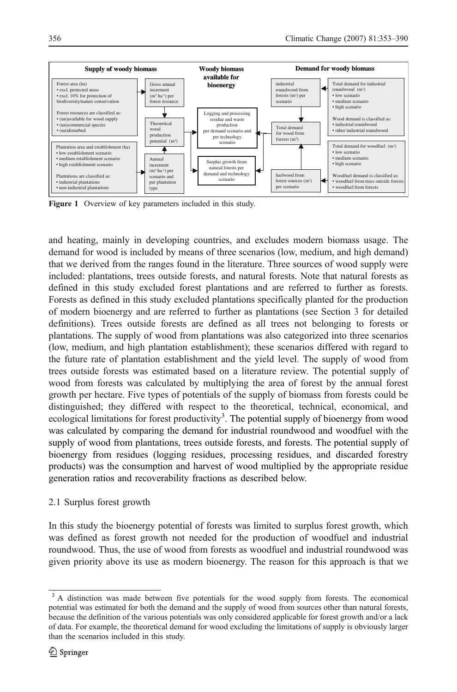<span id="page-3-0"></span>

Figure 1 Overview of key parameters included in this study.

and heating, mainly in developing countries, and excludes modern biomass usage. The demand for wood is included by means of three scenarios (low, medium, and high demand) that we derived from the ranges found in the literature. Three sources of wood supply were included: plantations, trees outside forests, and natural forests. Note that natural forests as defined in this study excluded forest plantations and are referred to further as forests. Forests as defined in this study excluded plantations specifically planted for the production of modern bioenergy and are referred to further as plantations (see Section [3](#page-5-0) for detailed definitions). Trees outside forests are defined as all trees not belonging to forests or plantations. The supply of wood from plantations was also categorized into three scenarios (low, medium, and high plantation establishment); these scenarios differed with regard to the future rate of plantation establishment and the yield level. The supply of wood from trees outside forests was estimated based on a literature review. The potential supply of wood from forests was calculated by multiplying the area of forest by the annual forest growth per hectare. Five types of potentials of the supply of biomass from forests could be distinguished; they differed with respect to the theoretical, technical, economical, and ecological limitations for forest productivity<sup>3</sup>. The potential supply of bioenergy from wood was calculated by comparing the demand for industrial roundwood and woodfuel with the supply of wood from plantations, trees outside forests, and forests. The potential supply of bioenergy from residues (logging residues, processing residues, and discarded forestry products) was the consumption and harvest of wood multiplied by the appropriate residue generation ratios and recoverability fractions as described below.

## 2.1 Surplus forest growth

In this study the bioenergy potential of forests was limited to surplus forest growth, which was defined as forest growth not needed for the production of woodfuel and industrial roundwood. Thus, the use of wood from forests as woodfuel and industrial roundwood was given priority above its use as modern bioenergy. The reason for this approach is that we

<sup>&</sup>lt;sup>3</sup> A distinction was made between five potentials for the wood supply from forests. The economical potential was estimated for both the demand and the supply of wood from sources other than natural forests, because the definition of the various potentials was only considered applicable for forest growth and/or a lack of data. For example, the theoretical demand for wood excluding the limitations of supply is obviously larger than the scenarios included in this study.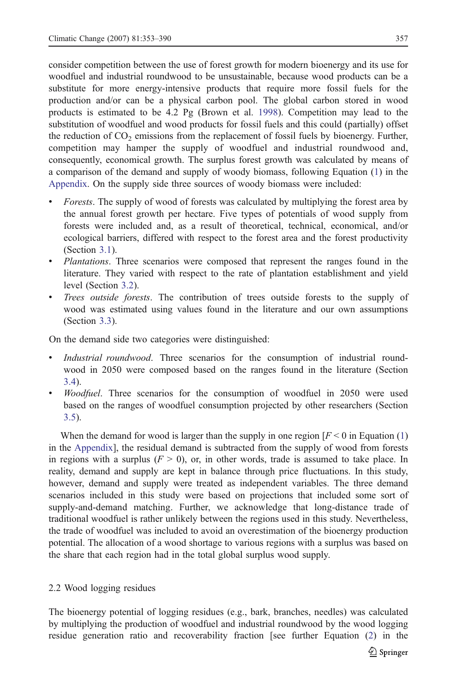consider competition between the use of forest growth for modern bioenergy and its use for woodfuel and industrial roundwood to be unsustainable, because wood products can be a substitute for more energy-intensive products that require more fossil fuels for the production and/or can be a physical carbon pool. The global carbon stored in wood products is estimated to be 4.2 Pg (Brown et al. [1998](#page-35-0)). Competition may lead to the substitution of woodfuel and wood products for fossil fuels and this could (partially) offset the reduction of  $CO<sub>2</sub>$  emissions from the replacement of fossil fuels by bioenergy. Further, competition may hamper the supply of woodfuel and industrial roundwood and, consequently, economical growth. The surplus forest growth was calculated by means of a comparison of the demand and supply of woody biomass, following Equation ([1\)](#page-34-0) in the [Appendix.](#page-34-0) On the supply side three sources of woody biomass were included:

- Forests. The supply of wood of forests was calculated by multiplying the forest area by the annual forest growth per hectare. Five types of potentials of wood supply from forests were included and, as a result of theoretical, technical, economical, and/or ecological barriers, differed with respect to the forest area and the forest productivity (Section [3.1](#page-5-0)).
- Plantations. Three scenarios were composed that represent the ranges found in the literature. They varied with respect to the rate of plantation establishment and yield level (Section [3.2\)](#page-11-0).
- Trees outside forests. The contribution of trees outside forests to the supply of wood was estimated using values found in the literature and our own assumptions (Section [3.3](#page-13-0)).

On the demand side two categories were distinguished:

- Industrial roundwood. Three scenarios for the consumption of industrial roundwood in 2050 were composed based on the ranges found in the literature (Section [3.4](#page-14-0)).
- Woodfuel. Three scenarios for the consumption of woodfuel in 2050 were used based on the ranges of woodfuel consumption projected by other researchers (Section [3.5](#page-18-0)).

When the demand for wood is larger than the supply in one region  $[F \le 0]$  in Equation ([1\)](#page-34-0) in the [Appendix\]](#page-34-0), the residual demand is subtracted from the supply of wood from forests in regions with a surplus  $(F \ge 0)$ , or, in other words, trade is assumed to take place. In reality, demand and supply are kept in balance through price fluctuations. In this study, however, demand and supply were treated as independent variables. The three demand scenarios included in this study were based on projections that included some sort of supply-and-demand matching. Further, we acknowledge that long-distance trade of traditional woodfuel is rather unlikely between the regions used in this study. Nevertheless, the trade of woodfuel was included to avoid an overestimation of the bioenergy production potential. The allocation of a wood shortage to various regions with a surplus was based on the share that each region had in the total global surplus wood supply.

# 2.2 Wood logging residues

The bioenergy potential of logging residues (e.g., bark, branches, needles) was calculated by multiplying the production of woodfuel and industrial roundwood by the wood logging residue generation ratio and recoverability fraction [see further Equation [\(2](#page-34-0)) in the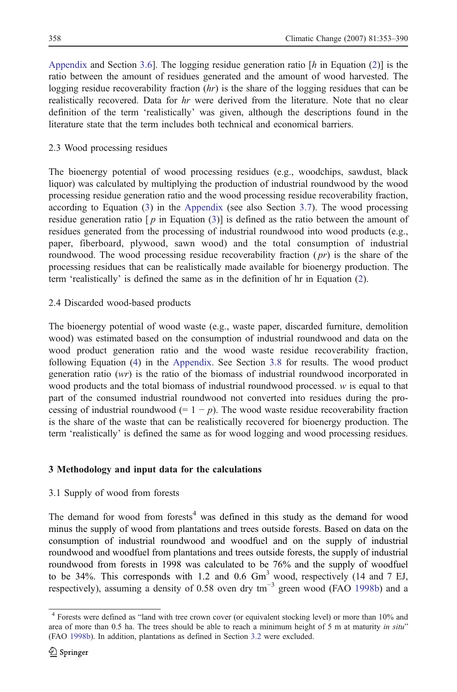<span id="page-5-0"></span>[Appendix](#page-34-0) and Section [3.6](#page-19-0)]. The logging residue generation ratio [h in Equation [\(2\)](#page-34-0)] is the ratio between the amount of residues generated and the amount of wood harvested. The logging residue recoverability fraction  $(hr)$  is the share of the logging residues that can be realistically recovered. Data for hr were derived from the literature. Note that no clear definition of the term 'realistically' was given, although the descriptions found in the literature state that the term includes both technical and economical barriers.

# 2.3 Wood processing residues

The bioenergy potential of wood processing residues (e.g., woodchips, sawdust, black liquor) was calculated by multiplying the production of industrial roundwood by the wood processing residue generation ratio and the wood processing residue recoverability fraction, according to Equation [\(3](#page-34-0)) in the [Appendix](#page-34-0) (see also Section [3.7\)](#page-20-0). The wood processing residue generation ratio [ $p$  in Equation ([3](#page-34-0))] is defined as the ratio between the amount of residues generated from the processing of industrial roundwood into wood products (e.g., paper, fiberboard, plywood, sawn wood) and the total consumption of industrial roundwood. The wood processing residue recoverability fraction  $(pr)$  is the share of the processing residues that can be realistically made available for bioenergy production. The term 'realistically' is defined the same as in the definition of hr in Equation ([2](#page-34-0)).

## 2.4 Discarded wood-based products

The bioenergy potential of wood waste (e.g., waste paper, discarded furniture, demolition wood) was estimated based on the consumption of industrial roundwood and data on the wood product generation ratio and the wood waste residue recoverability fraction, following Equation [\(4\)](#page-34-0) in the [Appendix.](#page-34-0) See Section [3.8](#page-23-0) for results. The wood product generation ratio (wr) is the ratio of the biomass of industrial roundwood incorporated in wood products and the total biomass of industrial roundwood processed. w is equal to that part of the consumed industrial roundwood not converted into residues during the processing of industrial roundwood (=  $1 - p$ ). The wood waste residue recoverability fraction is the share of the waste that can be realistically recovered for bioenergy production. The term 'realistically' is defined the same as for wood logging and wood processing residues.

# 3 Methodology and input data for the calculations

# 3.1 Supply of wood from forests

The demand for wood from forests<sup>4</sup> was defined in this study as the demand for wood minus the supply of wood from plantations and trees outside forests. Based on data on the consumption of industrial roundwood and woodfuel and on the supply of industrial roundwood and woodfuel from plantations and trees outside forests, the supply of industrial roundwood from forests in 1998 was calculated to be 76% and the supply of woodfuel to be 34%. This corresponds with 1.2 and 0.6  $\text{Gm}^3$  wood, respectively (14 and 7 EJ, respectively), assuming a density of 0.58 oven dry  $\tan^{-3}$  green wood (FAO [1998b\)](#page-35-0) and a

<sup>&</sup>lt;sup>4</sup> Forests were defined as "land with tree crown cover (or equivalent stocking level) or more than 10% and area of more than 0.5 ha. The trees should be able to reach a minimum height of 5 m at maturity in situ" (FAO [1998b](#page-35-0)). In addition, plantations as defined in Section [3.2](#page-11-0) were excluded.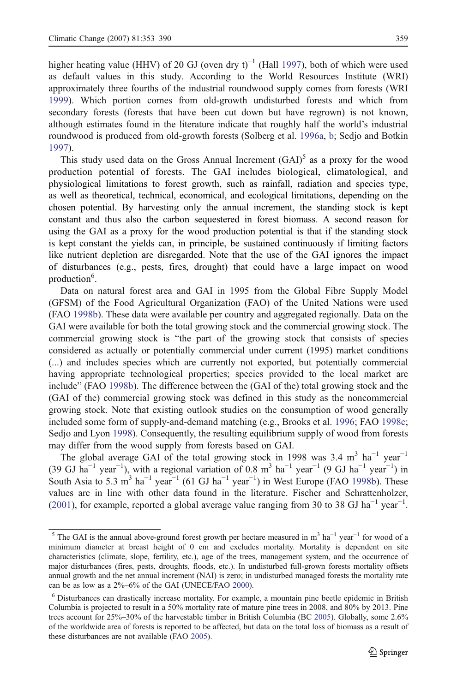higher heating value (HHV) of 20 GJ (oven dry t)<sup>-1</sup> (Hall [1997\)](#page-35-0), both of which were used as default values in this study. According to the World Resources Institute (WRI) approximately three fourths of the industrial roundwood supply comes from forests (WRI [1999\)](#page-37-0). Which portion comes from old-growth undisturbed forests and which from secondary forests (forests that have been cut down but have regrown) is not known, although estimates found in the literature indicate that roughly half the world's industrial roundwood is produced from old-growth forests (Solberg et al. [1996a](#page-37-0), [b](#page-37-0); Sedjo and Botkin [1997\)](#page-36-0).

This study used data on the Gross Annual Increment  $(GAI)^5$  as a proxy for the wood production potential of forests. The GAI includes biological, climatological, and physiological limitations to forest growth, such as rainfall, radiation and species type, as well as theoretical, technical, economical, and ecological limitations, depending on the chosen potential. By harvesting only the annual increment, the standing stock is kept constant and thus also the carbon sequestered in forest biomass. A second reason for using the GAI as a proxy for the wood production potential is that if the standing stock is kept constant the yields can, in principle, be sustained continuously if limiting factors like nutrient depletion are disregarded. Note that the use of the GAI ignores the impact of disturbances (e.g., pests, fires, drought) that could have a large impact on wood production<sup>6</sup>.

Data on natural forest area and GAI in 1995 from the Global Fibre Supply Model (GFSM) of the Food Agricultural Organization (FAO) of the United Nations were used (FAO [1998b](#page-35-0)). These data were available per country and aggregated regionally. Data on the GAI were available for both the total growing stock and the commercial growing stock. The commercial growing stock is "the part of the growing stock that consists of species considered as actually or potentially commercial under current (1995) market conditions (...) and includes species which are currently not exported, but potentially commercial having appropriate technological properties; species provided to the local market are include" (FAO [1998b](#page-35-0)). The difference between the (GAI of the) total growing stock and the (GAI of the) commercial growing stock was defined in this study as the noncommercial growing stock. Note that existing outlook studies on the consumption of wood generally included some form of supply-and-demand matching (e.g., Brooks et al. [1996](#page-35-0); FAO [1998c](#page-35-0); Sedjo and Lyon [1998](#page-36-0)). Consequently, the resulting equilibrium supply of wood from forests may differ from the wood supply from forests based on GAI.

The global average GAI of the total growing stock in 1998 was 3.4 m<sup>3</sup> ha<sup>-1</sup> year<sup>-1</sup> (39 GJ ha<sup>-1</sup> year<sup>-1</sup>), with a regional variation of 0.8 m<sup>3</sup> ha<sup>-1</sup> year<sup>-1</sup> (9 GJ ha<sup>-1</sup> year<sup>-1</sup>) in South Asia to 5.3 m<sup>3</sup> ha<sup>-1</sup> year<sup>-1</sup> (61 GJ ha<sup>-1</sup> year<sup>-1</sup>) in West Europe (FAO [1998b\)](#page-35-0). These values are in line with other data found in the literature. Fischer and Schrattenholzer, ([2001\)](#page-35-0), for example, reported a global average value ranging from 30 to 38 GJ ha<sup>-1</sup> year<sup>-1</sup>.

<sup>&</sup>lt;sup>5</sup> The GAI is the annual above-ground forest growth per hectare measured in m<sup>3</sup> ha<sup>-1</sup> year<sup>-1</sup> for wood of a minimum diameter at breast height of 0 cm and excludes mortality. Mortality is dependent on site characteristics (climate, slope, fertility, etc.), age of the trees, management system, and the occurrence of major disturbances (fires, pests, droughts, floods, etc.). In undisturbed full-grown forests mortality offsets annual growth and the net annual increment (NAI) is zero; in undisturbed managed forests the mortality rate can be as low as a 2%–6% of the GAI (UNECE/FAO [2000\)](#page-37-0).

<sup>6</sup> Disturbances can drastically increase mortality. For example, a mountain pine beetle epidemic in British Columbia is projected to result in a 50% mortality rate of mature pine trees in 2008, and 80% by 2013. Pine trees account for 25%–30% of the harvestable timber in British Columbia (BC [2005](#page-35-0)). Globally, some 2.6% of the worldwide area of forests is reported to be affected, but data on the total loss of biomass as a result of these disturbances are not available (FAO [2005\)](#page-35-0).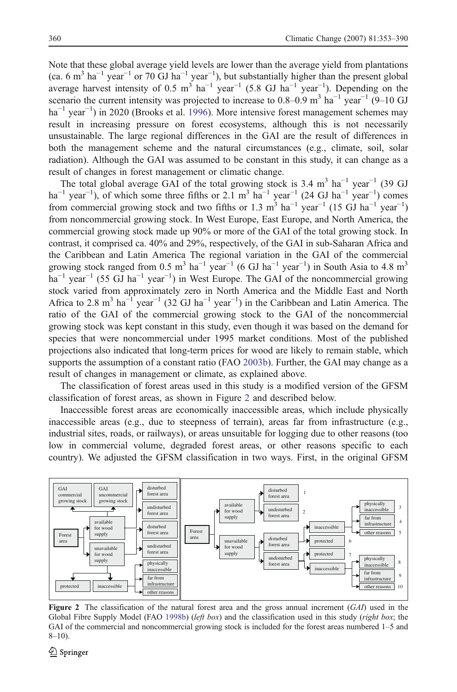<span id="page-7-0"></span>Note that these global average yield levels are lower than the average yield from plantations (ca. 6 m<sup>3</sup> ha<sup>-1</sup> year<sup>-1</sup> or 70 GJ ha<sup>-1</sup> year<sup>-1</sup>), but substantially higher than the present global average harvest intensity of 0.5 m<sup>3</sup> ha<sup>-1</sup> year<sup>-1</sup> (5.8 GJ ha<sup>-1</sup> year<sup>-1</sup>). Depending on the scenario the current intensity was projected to increase to 0.8–0.9 m<sup>3</sup> ha<sup>-1</sup> year<sup>-1</sup> (9–10 GJ ha<sup>-1</sup> year<sup>-1</sup>) in 2020 (Brooks et al. [1996\)](#page-35-0). More intensive forest management schemes may result in increasing pressure on forest ecosystems, although this is not necessarily unsustainable. The large regional differences in the GAI are the result of differences in both the management scheme and the natural circumstances (e.g., climate, soil, solar radiation). Although the GAI was assumed to be constant in this study, it can change as a result of changes in forest management or climatic change.

The total global average GAI of the total growing stock is 3.4 m<sup>3</sup> ha<sup>-1</sup> year<sup>-1</sup> (39 GJ ha<sup>-1</sup> year<sup>-1</sup>), of which some three fifths or 2.1 m<sup>3</sup> ha<sup>-1</sup> year<sup>-1</sup> (24 GJ ha<sup>-1</sup> year<sup>-1</sup>) comes from commercial growing stock and two fifths or 1.3 m<sup>3</sup> ha<sup>-1</sup> year<sup>-1</sup> (15 GJ ha<sup>-1</sup> year<sup>-1</sup>) from noncommercial growing stock. In West Europe, East Europe, and North America, the commercial growing stock made up 90% or more of the GAI of the total growing stock. In contrast, it comprised ca. 40% and 29%, respectively, of the GAI in sub-Saharan Africa and the Caribbean and Latin America The regional variation in the GAI of the commercial growing stock ranged from 0.5 m<sup>3</sup> ha<sup>-1</sup> year<sup>-1</sup> (6 GJ ha<sup>-1</sup> year<sup>-1</sup>) in South Asia to 4.8 m<sup>3</sup>  $ha^{-1}$  year<sup>-1</sup> (55 GJ ha<sup>-1</sup> year<sup>-1</sup>) in West Europe. The GAI of the noncommercial growing stock varied from approximately zero in North America and the Middle East and North Africa to 2.8 m<sup>3</sup> ha<sup>-1</sup> year<sup>-1</sup> (32 GJ ha<sup>-1</sup> year<sup>-1</sup>) in the Caribbean and Latin America. The ratio of the GAI of the commercial growing stock to the GAI of the noncommercial growing stock was kept constant in this study, even though it was based on the demand for species that were noncommercial under 1995 market conditions. Most of the published projections also indicated that long-term prices for wood are likely to remain stable, which supports the assumption of a constant ratio (FAO [2003b\)](#page-35-0). Further, the GAI may change as a result of changes in management or climate, as explained above.

The classification of forest areas used in this study is a modified version of the GFSM classification of forest areas, as shown in Figure 2 and described below.

Inaccessible forest areas are economically inaccessible areas, which include physically inaccessible areas (e.g., due to steepness of terrain), areas far from infrastructure (e.g., industrial sites, roads, or railways), or areas unsuitable for logging due to other reasons (too low in commercial volume, degraded forest areas, or other reasons specific to each country). We adjusted the GFSM classification in two ways. First, in the original GFSM



Figure 2 The classification of the natural forest area and the gross annual increment  $(GAI)$  used in the Global Fibre Supply Model (FAO [1998b\)](#page-35-0) (left box) and the classification used in this study (right box; the GAI of the commercial and noncommercial growing stock is included for the forest areas numbered 1–5 and  $8-10$ ).

 $\mathcal{Q}$  Springer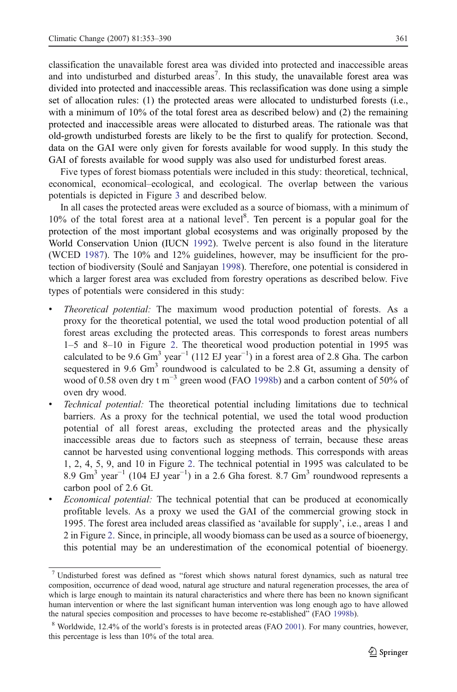classification the unavailable forest area was divided into protected and inaccessible areas and into undisturbed and disturbed areas<sup>7</sup>. In this study, the unavailable forest area was divided into protected and inaccessible areas. This reclassification was done using a simple set of allocation rules: (1) the protected areas were allocated to undisturbed forests (i.e.,

with a minimum of  $10\%$  of the total forest area as described below) and (2) the remaining protected and inaccessible areas were allocated to disturbed areas. The rationale was that old-growth undisturbed forests are likely to be the first to qualify for protection. Second, data on the GAI were only given for forests available for wood supply. In this study the GAI of forests available for wood supply was also used for undisturbed forest areas.

Five types of forest biomass potentials were included in this study: theoretical, technical, economical, economical–ecological, and ecological. The overlap between the various potentials is depicted in Figure [3](#page-9-0) and described below.

In all cases the protected areas were excluded as a source of biomass, with a minimum of 10% of the total forest area at a national level<sup>8</sup>. Ten percent is a popular goal for the protection of the most important global ecosystems and was originally proposed by the World Conservation Union (IUCN [1992\)](#page-36-0). Twelve percent is also found in the literature (WCED [1987](#page-37-0)). The 10% and 12% guidelines, however, may be insufficient for the protection of biodiversity (Soulé and Sanjayan [1998\)](#page-37-0). Therefore, one potential is considered in which a larger forest area was excluded from forestry operations as described below. Five types of potentials were considered in this study:

- & Theoretical potential: The maximum wood production potential of forests. As a proxy for the theoretical potential, we used the total wood production potential of all forest areas excluding the protected areas. This corresponds to forest areas numbers 1–5 and 8–10 in Figure [2.](#page-7-0) The theoretical wood production potential in 1995 was calculated to be 9.6  $\text{Gm}^3$  year<sup>-1</sup> (112 EJ year<sup>-1</sup>) in a forest area of 2.8 Gha. The carbon sequestered in 9.6  $\text{Gm}^3$  roundwood is calculated to be 2.8 Gt, assuming a density of wood of 0.58 oven dry t m<sup>-3</sup> green wood (FAO [1998b\)](#page-35-0) and a carbon content of 50% of oven dry wood.
- & Technical potential: The theoretical potential including limitations due to technical barriers. As a proxy for the technical potential, we used the total wood production potential of all forest areas, excluding the protected areas and the physically inaccessible areas due to factors such as steepness of terrain, because these areas cannot be harvested using conventional logging methods. This corresponds with areas 1, 2, 4, 5, 9, and 10 in Figure [2](#page-7-0). The technical potential in 1995 was calculated to be 8.9 Gm<sup>3</sup> year<sup>-1</sup> (104 EJ year<sup>-1</sup>) in a 2.6 Gha forest. 8.7 Gm<sup>3</sup> roundwood represents a carbon pool of 2.6 Gt.
- Economical potential: The technical potential that can be produced at economically profitable levels. As a proxy we used the GAI of the commercial growing stock in 1995. The forest area included areas classified as 'available for supply', i.e., areas 1 and 2 in Figure [2](#page-7-0). Since, in principle, all woody biomass can be used as a source of bioenergy, this potential may be an underestimation of the economical potential of bioenergy.

Undisturbed forest was defined as "forest which shows natural forest dynamics, such as natural tree composition, occurrence of dead wood, natural age structure and natural regeneration processes, the area of which is large enough to maintain its natural characteristics and where there has been no known significant human intervention or where the last significant human intervention was long enough ago to have allowed the natural species composition and processes to have become re-established" (FAO [1998b\)](#page-35-0).

<sup>8</sup> Worldwide, 12.4% of the world's forests is in protected areas (FAO [2001](#page-35-0)). For many countries, however, this percentage is less than 10% of the total area.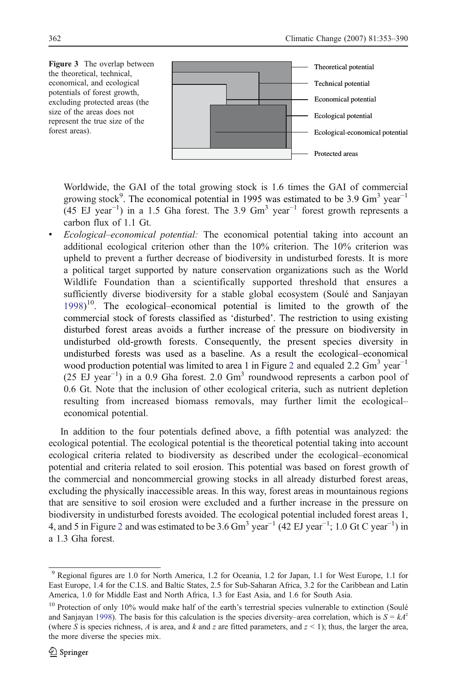<span id="page-9-0"></span>

Worldwide, the GAI of the total growing stock is 1.6 times the GAI of commercial growing stock<sup>9</sup>. The economical potential in 1995 was estimated to be 3.9  $\text{Gm}^3 \text{ year}^{-1}$ (45 EJ year<sup>-1</sup>) in a 1.5 Gha forest. The 3.9 Gm<sup>3</sup> year<sup>-1</sup> forest growth represents a carbon flux of 1.1 Gt.

Ecological–economical potential: The economical potential taking into account an additional ecological criterion other than the 10% criterion. The 10% criterion was upheld to prevent a further decrease of biodiversity in undisturbed forests. It is more a political target supported by nature conservation organizations such as the World Wildlife Foundation than a scientifically supported threshold that ensures a sufficiently diverse biodiversity for a stable global ecosystem (Soulé and Sanjayan [1998](#page-37-0))<sup>10</sup>. The ecological–economical potential is limited to the growth of the commercial stock of forests classified as 'disturbed'. The restriction to using existing disturbed forest areas avoids a further increase of the pressure on biodiversity in undisturbed old-growth forests. Consequently, the present species diversity in undisturbed forests was used as a baseline. As a result the ecological–economical wood production potential was limited to area 1 in Figure [2](#page-7-0) and equaled 2.2  $\text{Gm}^3$  year<sup>-1</sup> (25 EJ year−<sup>1</sup> ) in a 0.9 Gha forest. 2.0 Gm<sup>3</sup> roundwood represents a carbon pool of 0.6 Gt. Note that the inclusion of other ecological criteria, such as nutrient depletion resulting from increased biomass removals, may further limit the ecological– economical potential.

In addition to the four potentials defined above, a fifth potential was analyzed: the ecological potential. The ecological potential is the theoretical potential taking into account ecological criteria related to biodiversity as described under the ecological–economical potential and criteria related to soil erosion. This potential was based on forest growth of the commercial and noncommercial growing stocks in all already disturbed forest areas, excluding the physically inaccessible areas. In this way, forest areas in mountainous regions that are sensitive to soil erosion were excluded and a further increase in the pressure on biodiversity in undisturbed forests avoided. The ecological potential included forest areas 1, 4, and 5 in Figure [2](#page-7-0) and was estimated to be 3.6 Gm<sup>3</sup> year<sup>-1</sup> (42 EJ year<sup>-1</sup>; 1.0 Gt C year<sup>-1</sup>) in a 1.3 Gha forest.

<sup>9</sup> Regional figures are 1.0 for North America, 1.2 for Oceania, 1.2 for Japan, 1.1 for West Europe, 1.1 for East Europe, 1.4 for the C.I.S. and Baltic States, 2.5 for Sub-Saharan Africa, 3.2 for the Caribbean and Latin America, 1.0 for Middle East and North Africa, 1.3 for East Asia, and 1.6 for South Asia.

<sup>&</sup>lt;sup>10</sup> Protection of only 10% would make half of the earth's terrestrial species vulnerable to extinction (Soulé and Sanjayan [1998\)](#page-37-0). The basis for this calculation is the species diversity–area correlation, which is  $S = kA^2$ (where S is species richness, A is area, and k and z are fitted parameters, and  $z < 1$ ); thus, the larger the area, the more diverse the species mix.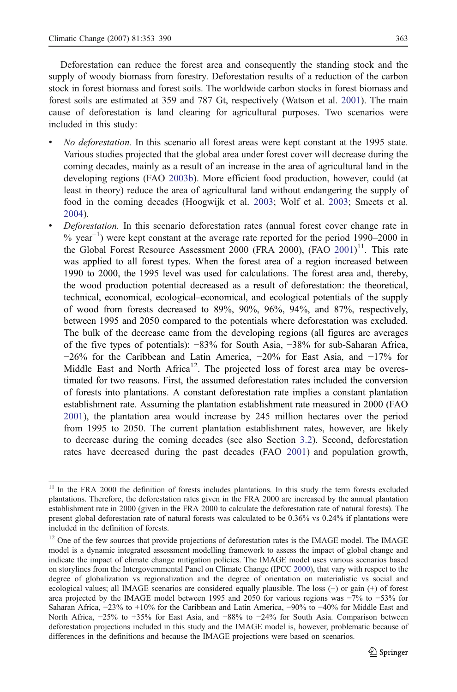Deforestation can reduce the forest area and consequently the standing stock and the supply of woody biomass from forestry. Deforestation results of a reduction of the carbon stock in forest biomass and forest soils. The worldwide carbon stocks in forest biomass and forest soils are estimated at 359 and 787 Gt, respectively (Watson et al. [2001](#page-37-0)). The main cause of deforestation is land clearing for agricultural purposes. Two scenarios were included in this study:

- No deforestation. In this scenario all forest areas were kept constant at the 1995 state. Various studies projected that the global area under forest cover will decrease during the coming decades, mainly as a result of an increase in the area of agricultural land in the developing regions (FAO [2003b](#page-35-0)). More efficient food production, however, could (at least in theory) reduce the area of agricultural land without endangering the supply of food in the coming decades (Hoogwijk et al. [2003;](#page-36-0) Wolf et al. [2003](#page-37-0); Smeets et al. [2004](#page-36-0)).
- Deforestation. In this scenario deforestation rates (annual forest cover change rate in % year−<sup>1</sup> ) were kept constant at the average rate reported for the period 1990–2000 in the Global Forest Resource Assessment 2000 (FRA 2000), (FAO [2001\)](#page-35-0)<sup>11</sup>. This rate was applied to all forest types. When the forest area of a region increased between 1990 to 2000, the 1995 level was used for calculations. The forest area and, thereby, the wood production potential decreased as a result of deforestation: the theoretical, technical, economical, ecological–economical, and ecological potentials of the supply of wood from forests decreased to 89%, 90%, 96%, 94%, and 87%, respectively, between 1995 and 2050 compared to the potentials where deforestation was excluded. The bulk of the decrease came from the developing regions (all figures are averages of the five types of potentials): −83% for South Asia, −38% for sub-Saharan Africa,  $-26\%$  for the Caribbean and Latin America,  $-20\%$  for East Asia, and  $-17\%$  for Middle East and North Africa<sup>12</sup>. The projected loss of forest area may be overestimated for two reasons. First, the assumed deforestation rates included the conversion of forests into plantations. A constant deforestation rate implies a constant plantation establishment rate. Assuming the plantation establishment rate measured in 2000 (FAO [2001](#page-35-0)), the plantation area would increase by 245 million hectares over the period from 1995 to 2050. The current plantation establishment rates, however, are likely to decrease during the coming decades (see also Section [3.2](#page-11-0)). Second, deforestation rates have decreased during the past decades (FAO [2001\)](#page-35-0) and population growth,

<sup>&</sup>lt;sup>11</sup> In the FRA 2000 the definition of forests includes plantations. In this study the term forests excluded plantations. Therefore, the deforestation rates given in the FRA 2000 are increased by the annual plantation establishment rate in 2000 (given in the FRA 2000 to calculate the deforestation rate of natural forests). The present global deforestation rate of natural forests was calculated to be 0.36% vs 0.24% if plantations were included in the definition of forests.

<sup>&</sup>lt;sup>12</sup> One of the few sources that provide projections of deforestation rates is the IMAGE model. The IMAGE model is a dynamic integrated assessment modelling framework to assess the impact of global change and indicate the impact of climate change mitigation policies. The IMAGE model uses various scenarios based on storylines from the Intergovernmental Panel on Climate Change (IPCC [2000](#page-36-0)), that vary with respect to the degree of globalization vs regionalization and the degree of orientation on materialistic vs social and ecological values; all IMAGE scenarios are considered equally plausible. The loss (−) or gain (+) of forest area projected by the IMAGE model between 1995 and 2050 for various regions was −7% to −53% for Saharan Africa, −23% to +10% for the Caribbean and Latin America, −90% to −40% for Middle East and North Africa, −25% to +35% for East Asia, and −88% to −24% for South Asia. Comparison between deforestation projections included in this study and the IMAGE model is, however, problematic because of differences in the definitions and because the IMAGE projections were based on scenarios.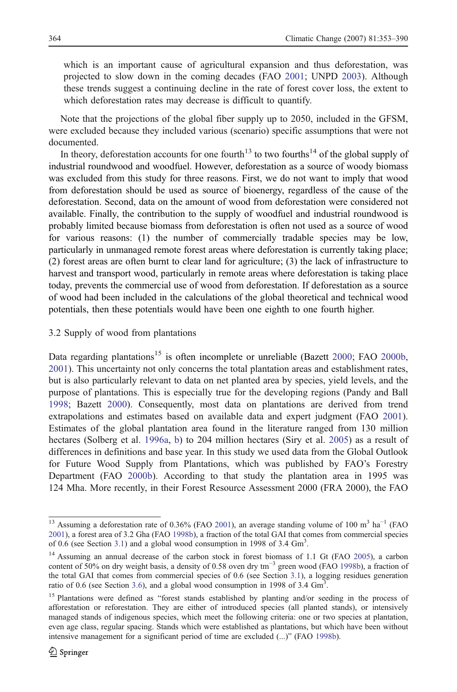<span id="page-11-0"></span>which is an important cause of agricultural expansion and thus deforestation, was projected to slow down in the coming decades (FAO [2001](#page-35-0); UNPD [2003\)](#page-37-0). Although these trends suggest a continuing decline in the rate of forest cover loss, the extent to which deforestation rates may decrease is difficult to quantify.

Note that the projections of the global fiber supply up to 2050, included in the GFSM, were excluded because they included various (scenario) specific assumptions that were not documented.

In theory, deforestation accounts for one fourth<sup>13</sup> to two fourths<sup>14</sup> of the global supply of industrial roundwood and woodfuel. However, deforestation as a source of woody biomass was excluded from this study for three reasons. First, we do not want to imply that wood from deforestation should be used as source of bioenergy, regardless of the cause of the deforestation. Second, data on the amount of wood from deforestation were considered not available. Finally, the contribution to the supply of woodfuel and industrial roundwood is probably limited because biomass from deforestation is often not used as a source of wood for various reasons: (1) the number of commercially tradable species may be low, particularly in unmanaged remote forest areas where deforestation is currently taking place; (2) forest areas are often burnt to clear land for agriculture; (3) the lack of infrastructure to harvest and transport wood, particularly in remote areas where deforestation is taking place today, prevents the commercial use of wood from deforestation. If deforestation as a source of wood had been included in the calculations of the global theoretical and technical wood potentials, then these potentials would have been one eighth to one fourth higher.

#### 3.2 Supply of wood from plantations

Data regarding plantations<sup>15</sup> is often incomplete or unreliable (Bazett [2000;](#page-35-0) FAO [2000b](#page-35-0), [2001\)](#page-35-0). This uncertainty not only concerns the total plantation areas and establishment rates, but is also particularly relevant to data on net planted area by species, yield levels, and the purpose of plantations. This is especially true for the developing regions (Pandy and Ball [1998;](#page-36-0) Bazett [2000](#page-35-0)). Consequently, most data on plantations are derived from trend extrapolations and estimates based on available data and expert judgment (FAO [2001](#page-35-0)). Estimates of the global plantation area found in the literature ranged from 130 million hectares (Solberg et al. [1996a](#page-37-0), [b\)](#page-37-0) to 204 million hectares (Siry et al. [2005](#page-36-0)) as a result of differences in definitions and base year. In this study we used data from the Global Outlook for Future Wood Supply from Plantations, which was published by FAO's Forestry Department (FAO [2000b\)](#page-35-0). According to that study the plantation area in 1995 was 124 Mha. More recently, in their Forest Resource Assessment 2000 (FRA 2000), the FAO

<sup>&</sup>lt;sup>13</sup> Assuming a deforestation rate of 0.36% (FAO [2001\)](#page-35-0), an average standing volume of 100 m<sup>3</sup> ha<sup>−1</sup> (FAO [2001\)](#page-35-0), a forest area of 3.2 Gha (FAO [1998b\)](#page-35-0), a fraction of the total GAI that comes from commercial species of  $0.6$  (see Section [3.1\)](#page-5-0) and a global wood consumption in 1998 of 3.4  $\text{Gm}^3$ .

<sup>&</sup>lt;sup>14</sup> Assuming an annual decrease of the carbon stock in forest biomass of 1.1 Gt (FAO [2005](#page-35-0)), a carbon content of 50% on dry weight basis, a density of 0.58 oven dry tm<sup>-3</sup> green wood (FAO [1998b\)](#page-35-0), a fraction of the total GAI that comes from commercial species of 0.6 (see Section [3.1](#page-5-0)), a logging residues generation ratio of 0.6 (see Section [3.6\)](#page-19-0), and a global wood consumption in 1998 of 3.4 Gm<sup>3</sup>.

<sup>&</sup>lt;sup>15</sup> Plantations were defined as "forest stands established by planting and/or seeding in the process of afforestation or reforestation. They are either of introduced species (all planted stands), or intensively managed stands of indigenous species, which meet the following criteria: one or two species at plantation, even age class, regular spacing. Stands which were established as plantations, but which have been without intensive management for a significant period of time are excluded (...)" (FAO [1998b](#page-35-0)).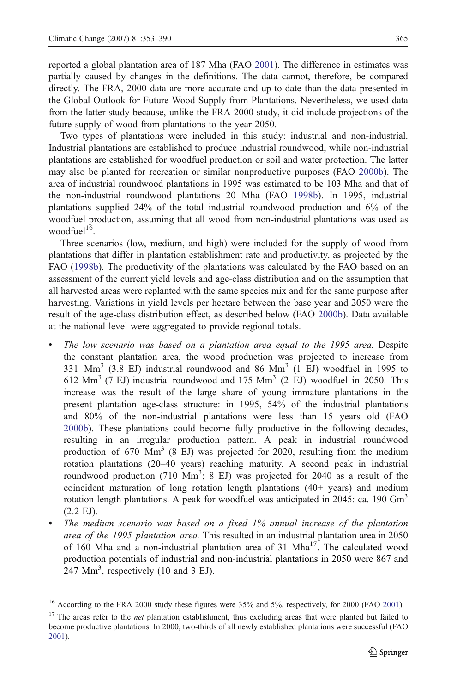reported a global plantation area of 187 Mha (FAO [2001\)](#page-35-0). The difference in estimates was partially caused by changes in the definitions. The data cannot, therefore, be compared directly. The FRA, 2000 data are more accurate and up-to-date than the data presented in

the Global Outlook for Future Wood Supply from Plantations. Nevertheless, we used data from the latter study because, unlike the FRA 2000 study, it did include projections of the future supply of wood from plantations to the year 2050. Two types of plantations were included in this study: industrial and non-industrial. Industrial plantations are established to produce industrial roundwood, while non-industrial

plantations are established for woodfuel production or soil and water protection. The latter may also be planted for recreation or similar nonproductive purposes (FAO [2000b\)](#page-35-0). The area of industrial roundwood plantations in 1995 was estimated to be 103 Mha and that of the non-industrial roundwood plantations 20 Mha (FAO [1998b\)](#page-35-0). In 1995, industrial plantations supplied 24% of the total industrial roundwood production and 6% of the woodfuel production, assuming that all wood from non-industrial plantations was used as woodfuel $16$ .

Three scenarios (low, medium, and high) were included for the supply of wood from plantations that differ in plantation establishment rate and productivity, as projected by the FAO [\(1998b\)](#page-35-0). The productivity of the plantations was calculated by the FAO based on an assessment of the current yield levels and age-class distribution and on the assumption that all harvested areas were replanted with the same species mix and for the same purpose after harvesting. Variations in yield levels per hectare between the base year and 2050 were the result of the age-class distribution effect, as described below (FAO [2000b\)](#page-35-0). Data available at the national level were aggregated to provide regional totals.

- The low scenario was based on a plantation area equal to the 1995 area. Despite the constant plantation area, the wood production was projected to increase from  $331$  Mm<sup>3</sup> (3.8 EJ) industrial roundwood and 86 Mm<sup>3</sup> (1 EJ) woodfuel in 1995 to 612 Mm<sup>3</sup> (7 EJ) industrial roundwood and 175 Mm<sup>3</sup> (2 EJ) woodfuel in 2050. This increase was the result of the large share of young immature plantations in the present plantation age-class structure: in 1995, 54% of the industrial plantations and 80% of the non-industrial plantations were less than 15 years old (FAO [2000b\)](#page-35-0). These plantations could become fully productive in the following decades, resulting in an irregular production pattern. A peak in industrial roundwood production of  $670 \text{ Mm}^3$  (8 EJ) was projected for 2020, resulting from the medium rotation plantations (20–40 years) reaching maturity. A second peak in industrial roundwood production (710 Mm<sup>3</sup>; 8 EJ) was projected for 2040 as a result of the coincident maturation of long rotation length plantations (40+ years) and medium rotation length plantations. A peak for woodfuel was anticipated in 2045: ca. 190  $\text{Gm}^3$ (2.2 EJ).
- The medium scenario was based on a fixed  $1\%$  annual increase of the plantation area of the 1995 plantation area. This resulted in an industrial plantation area in 2050 of 160 Mha and a non-industrial plantation area of 31 Mha $^{17}$ . The calculated wood production potentials of industrial and non-industrial plantations in 2050 were 867 and  $247$  Mm<sup>3</sup>, respectively (10 and 3 EJ).

<sup>&</sup>lt;sup>16</sup> According to the FRA 2000 study these figures were 35% and 5%, respectively, for 2000 (FAO [2001](#page-35-0)).

 $17$  The areas refer to the *net* plantation establishment, thus excluding areas that were planted but failed to become productive plantations. In 2000, two-thirds of all newly established plantations were successful (FAO [2001\)](#page-35-0).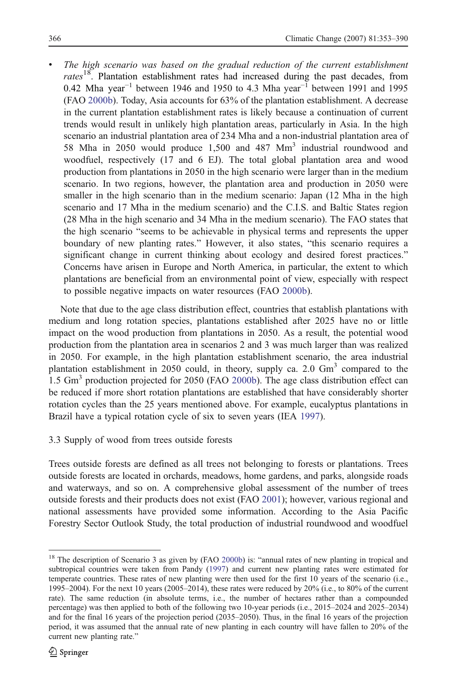<span id="page-13-0"></span>The high scenario was based on the gradual reduction of the current establishment rates<sup>18</sup>. Plantation establishment rates had increased during the past decades, from 0.42 Mha year<sup>-1</sup> between 1946 and 1950 to 4.3 Mha year<sup>-1</sup> between 1991 and 1995 (FAO [2000b](#page-35-0)). Today, Asia accounts for 63% of the plantation establishment. A decrease in the current plantation establishment rates is likely because a continuation of current trends would result in unlikely high plantation areas, particularly in Asia. In the high scenario an industrial plantation area of 234 Mha and a non-industrial plantation area of 58 Mha in 2050 would produce 1,500 and 487 Mm3 industrial roundwood and woodfuel, respectively (17 and 6 EJ). The total global plantation area and wood production from plantations in 2050 in the high scenario were larger than in the medium scenario. In two regions, however, the plantation area and production in 2050 were smaller in the high scenario than in the medium scenario: Japan (12 Mha in the high scenario and 17 Mha in the medium scenario) and the C.I.S. and Baltic States region (28 Mha in the high scenario and 34 Mha in the medium scenario). The FAO states that the high scenario "seems to be achievable in physical terms and represents the upper boundary of new planting rates." However, it also states, "this scenario requires a significant change in current thinking about ecology and desired forest practices." Concerns have arisen in Europe and North America, in particular, the extent to which plantations are beneficial from an environmental point of view, especially with respect to possible negative impacts on water resources (FAO [2000b](#page-35-0)).

Note that due to the age class distribution effect, countries that establish plantations with medium and long rotation species, plantations established after 2025 have no or little impact on the wood production from plantations in 2050. As a result, the potential wood production from the plantation area in scenarios 2 and 3 was much larger than was realized in 2050. For example, in the high plantation establishment scenario, the area industrial plantation establishment in 2050 could, in theory, supply ca. 2.0  $\text{Gm}^3$  compared to the 1.5 Gm<sup>3</sup> production projected for 2050 (FAO [2000b\)](#page-35-0). The age class distribution effect can be reduced if more short rotation plantations are established that have considerably shorter rotation cycles than the 25 years mentioned above. For example, eucalyptus plantations in Brazil have a typical rotation cycle of six to seven years (IEA [1997\)](#page-36-0).

## 3.3 Supply of wood from trees outside forests

Trees outside forests are defined as all trees not belonging to forests or plantations. Trees outside forests are located in orchards, meadows, home gardens, and parks, alongside roads and waterways, and so on. A comprehensive global assessment of the number of trees outside forests and their products does not exist (FAO [2001\)](#page-35-0); however, various regional and national assessments have provided some information. According to the Asia Pacific Forestry Sector Outlook Study, the total production of industrial roundwood and woodfuel

<sup>&</sup>lt;sup>18</sup> The description of Scenario 3 as given by (FAO [2000b](#page-35-0)) is: "annual rates of new planting in tropical and subtropical countries were taken from Pandy [\(1997\)](#page-36-0) and current new planting rates were estimated for temperate countries. These rates of new planting were then used for the first 10 years of the scenario (i.e., 1995–2004). For the next 10 years (2005–2014), these rates were reduced by 20% (i.e., to 80% of the current rate). The same reduction (in absolute terms, i.e., the number of hectares rather than a compounded percentage) was then applied to both of the following two 10-year periods (i.e., 2015–2024 and 2025–2034) and for the final 16 years of the projection period (2035–2050). Thus, in the final 16 years of the projection period, it was assumed that the annual rate of new planting in each country will have fallen to 20% of the current new planting rate."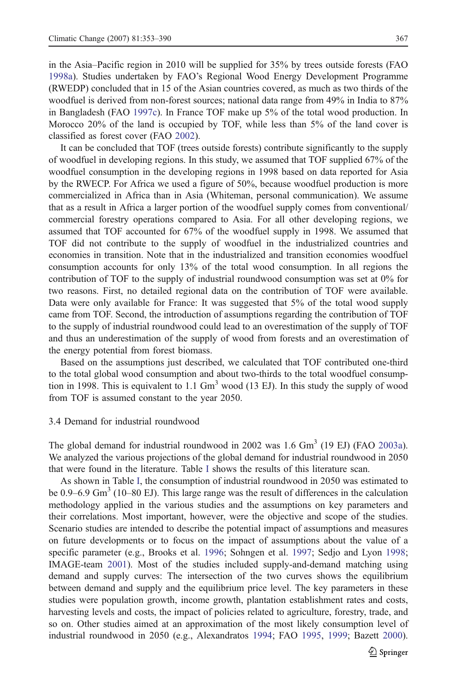<span id="page-14-0"></span>in the Asia–Pacific region in 2010 will be supplied for 35% by trees outside forests (FAO [1998a\)](#page-35-0). Studies undertaken by FAO's Regional Wood Energy Development Programme (RWEDP) concluded that in 15 of the Asian countries covered, as much as two thirds of the woodfuel is derived from non-forest sources; national data range from 49% in India to 87% in Bangladesh (FAO [1997c](#page-35-0)). In France TOF make up 5% of the total wood production. In Morocco 20% of the land is occupied by TOF, while less than 5% of the land cover is classified as forest cover (FAO [2002](#page-35-0)).

It can be concluded that TOF (trees outside forests) contribute significantly to the supply of woodfuel in developing regions. In this study, we assumed that TOF supplied 67% of the woodfuel consumption in the developing regions in 1998 based on data reported for Asia by the RWECP. For Africa we used a figure of 50%, because woodfuel production is more commercialized in Africa than in Asia (Whiteman, personal communication). We assume that as a result in Africa a larger portion of the woodfuel supply comes from conventional/ commercial forestry operations compared to Asia. For all other developing regions, we assumed that TOF accounted for 67% of the woodfuel supply in 1998. We assumed that TOF did not contribute to the supply of woodfuel in the industrialized countries and economies in transition. Note that in the industrialized and transition economies woodfuel consumption accounts for only 13% of the total wood consumption. In all regions the contribution of TOF to the supply of industrial roundwood consumption was set at 0% for two reasons. First, no detailed regional data on the contribution of TOF were available. Data were only available for France: It was suggested that 5% of the total wood supply came from TOF. Second, the introduction of assumptions regarding the contribution of TOF to the supply of industrial roundwood could lead to an overestimation of the supply of TOF and thus an underestimation of the supply of wood from forests and an overestimation of the energy potential from forest biomass.

Based on the assumptions just described, we calculated that TOF contributed one-third to the total global wood consumption and about two-thirds to the total woodfuel consumption in 1998. This is equivalent to 1.1  $\text{Gm}^3$  wood (13 EJ). In this study the supply of wood from TOF is assumed constant to the year 2050.

#### 3.4 Demand for industrial roundwood

The global demand for industrial roundwood in 2002 was  $1.6 \text{ Gm}^3$  (19 EJ) (FAO [2003a](#page-35-0)). We analyzed the various projections of the global demand for industrial roundwood in 2050 that were found in the literature. Table [I](#page-15-0) shows the results of this literature scan.

As shown in Table [I,](#page-15-0) the consumption of industrial roundwood in 2050 was estimated to be 0.9–6.9 Gm<sup>3</sup> (10–80 EJ). This large range was the result of differences in the calculation methodology applied in the various studies and the assumptions on key parameters and their correlations. Most important, however, were the objective and scope of the studies. Scenario studies are intended to describe the potential impact of assumptions and measures on future developments or to focus on the impact of assumptions about the value of a specific parameter (e.g., Brooks et al. [1996](#page-35-0); Sohngen et al. [1997;](#page-37-0) Sedjo and Lyon [1998](#page-36-0); IMAGE-team [2001](#page-36-0)). Most of the studies included supply-and-demand matching using demand and supply curves: The intersection of the two curves shows the equilibrium between demand and supply and the equilibrium price level. The key parameters in these studies were population growth, income growth, plantation establishment rates and costs, harvesting levels and costs, the impact of policies related to agriculture, forestry, trade, and so on. Other studies aimed at an approximation of the most likely consumption level of industrial roundwood in 2050 (e.g., Alexandratos [1994;](#page-34-0) FAO [1995](#page-35-0), [1999](#page-35-0); Bazett [2000](#page-35-0)).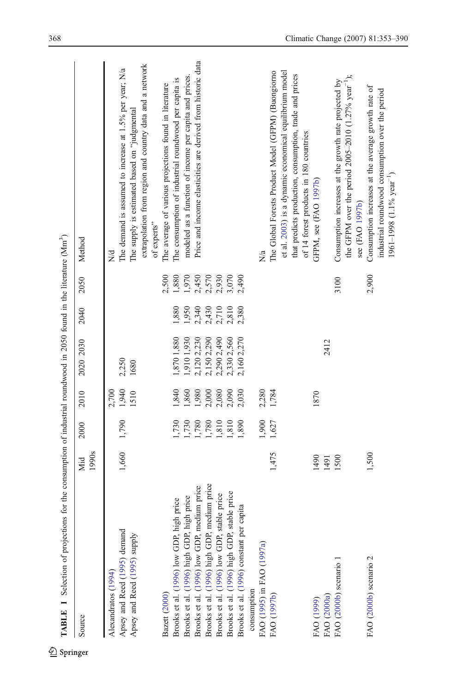<span id="page-15-0"></span>

| <b>TABLE I</b> Selection of projections for the consumption of industrial roundwood in 2050 found in the literature (Mm <sup>3</sup> )                                                  |              |                                  |                                  |                                                          |                                  |                                  |                                                                                                                                                                                         |
|-----------------------------------------------------------------------------------------------------------------------------------------------------------------------------------------|--------------|----------------------------------|----------------------------------|----------------------------------------------------------|----------------------------------|----------------------------------|-----------------------------------------------------------------------------------------------------------------------------------------------------------------------------------------|
| Source                                                                                                                                                                                  | 1990s<br>Mid | 2000                             | 2010                             | 2020 2030                                                | 2040                             | 2050                             | Method                                                                                                                                                                                  |
| Apsey and Reed (1995) demand<br>Apsey and Reed (1995) supply<br>Alexandratos (1994)                                                                                                     | 1,660        | 1,790                            | 1,940<br>2,700<br>1510           | 2,250<br>1680                                            |                                  |                                  | extrapolation from region and country data and a network<br>The demand is assumed to increase at 1.5% per year; N/a<br>The supply is estimated based on "judgmental<br>$\sum_{i=1}^{n}$ |
| igh price<br>Brooks et al. (1996) low GDP, hi<br>Bazett (2000)                                                                                                                          |              | 1,730                            | 1,840                            | 1,870 1,880                                              | 1,880                            | 2,500<br>1,880                   | The consumption of industrial roundwood per capita is<br>The average of various projections found in literature<br>of experts"                                                          |
| Brooks et al. (1996) low GDP, medium price<br>Brooks et al. (1996) high GDP, high price                                                                                                 |              | 1,780<br>1,730                   | 1,860<br>.980                    | 1,9101,930<br>2,120 2,230                                | 2,340<br>1,950                   | 1,970<br>2,450                   | Price and income elasticities are derived from historic data<br>modeled as a function of income per capita and prices.                                                                  |
| Brooks et al. (1996) high GDP, medium price<br>Brooks et al. (1996) low GDP, stable price<br>Brooks et al. (1996) high GDP, stable price<br>capita<br>Brooks et al. (1996) constant per |              | 1,810<br>1,780<br>1,810<br>1,890 | 2,000<br>2,080<br>2,090<br>2,030 | 2,150 2,290<br>2,290 2,490<br>2,330 2,560<br>2,160 2,270 | 2,710<br>2,810<br>2,430<br>2,380 | 2,570<br>2,930<br>3,070<br>2,490 |                                                                                                                                                                                         |
| FAO (1995) in FAO (1997a)<br>consumption<br>FAO (1997b)                                                                                                                                 | 1,475        | 1,900<br>1,627                   | 2,280<br>1,784                   |                                                          |                                  |                                  | The Global Forests Product Model (GFPM) (Buongiorno<br>et al. 2003) is a dynamic economical equilibrium model<br>that predicts production, consumption, trade and prices<br>$\sum_{a}$  |
| FAO (2000a)<br>FAO (1999)                                                                                                                                                               | 1490<br>1491 |                                  | 1870                             | 2412                                                     |                                  |                                  | of 14 forest products in 180 countries<br>GFPM, see (FAO 1997b)                                                                                                                         |
| FAO (2000b) scenario 1                                                                                                                                                                  | 1500         |                                  |                                  |                                                          |                                  | 3100                             | the GFPM over the period 2005-2010 (1.27% year <sup>-1</sup> );<br>Consumption increases at the growth rate projected by<br>see (FAO 1997b)                                             |
| FAO (2000b) scenario 2                                                                                                                                                                  | 1,500        |                                  |                                  |                                                          |                                  | 2,900                            | Consumption increases at the average growth rate of<br>industrial roundwood consumption over the period<br>$1961 - 1998$ (1.1% year <sup>-1</sup> )                                     |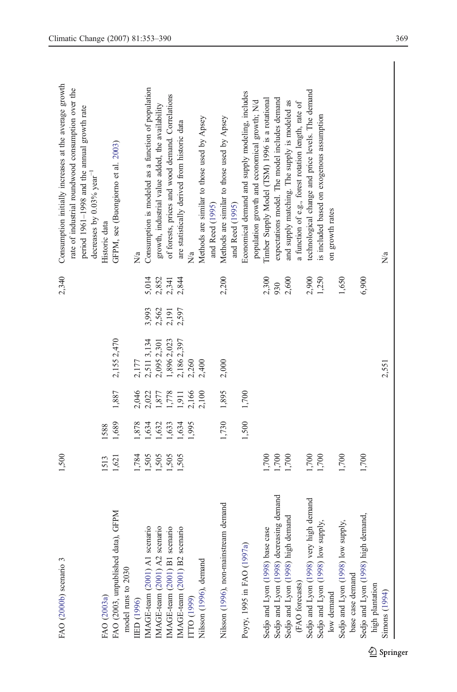| FAO (2000b) scenario 3                                                      | 1,500 |       |                |                            |       | 2,340 | Consumption initially increases at the average growth<br>rate of industrial roundwood consumption over the<br>period 1961-1998 and the annual growth rate |
|-----------------------------------------------------------------------------|-------|-------|----------------|----------------------------|-------|-------|-----------------------------------------------------------------------------------------------------------------------------------------------------------|
| FAO (2003a)                                                                 | 1513  | 1588  |                |                            |       |       | decreases by $0.03\%$ year <sup>-1</sup><br>Historic data                                                                                                 |
| FPM<br>FAO (2003, unpublished data), G                                      | 1,621 | 1,689 | 1,887          | 2,1552,470                 |       |       | GFPM, see (Buongiorno et al. 2003)                                                                                                                        |
| model runs to 2030                                                          |       |       |                |                            |       |       |                                                                                                                                                           |
| IED (1996)                                                                  | 1,784 | 1,878 | 2,046          | 2,177                      |       |       | N/a                                                                                                                                                       |
| IMAGE-team (2001) A1 scenario                                               | 1,505 | 1,634 | 2,022          |                            | 3,993 | 5,014 | Consumption is modeled as a function of population                                                                                                        |
| IMAGE-team (2001) A2 scenario                                               | 1,505 | 1,632 | 1,877          | 2,511 3,134<br>2,095 2,301 | 2,562 | 2,852 | growth, industrial value added, the availability                                                                                                          |
| IMAGE-team (2001) B1 scenario                                               | 505   | 1,633 | 1,778          | 1,896 2,023                | 2,191 | 2,341 | of forests, prices and wood demand. Correlations                                                                                                          |
| IMAGE-team (2001) B2 scenario                                               | 505   | 1,634 | 1,911<br>2,166 | 2,1862,397                 | 2,597 | 2,844 | are statistically derived from historic data                                                                                                              |
| ITTO (1999)                                                                 |       | 1,995 |                | 2,260                      |       |       | $\sum_{a}$                                                                                                                                                |
| Nilsson (1996), demand                                                      |       |       | 2,100          | 2,400                      |       |       | Methods are similar to those used by Apsey                                                                                                                |
|                                                                             |       |       |                |                            |       |       | and Reed (1995)                                                                                                                                           |
| demand<br>Nilsson (1996), non-mainstream                                    |       | 1,730 | 1,895          | 2,000                      |       | 2,200 | Methods are similar to those used by Apsey                                                                                                                |
|                                                                             |       |       |                |                            |       |       | and Reed (1995)                                                                                                                                           |
| Poyry, 1995 in FAO (1997a)                                                  |       | 1,500 | 1,700          |                            |       |       | Economical demand and supply modeling, includes                                                                                                           |
|                                                                             |       |       |                |                            |       |       | population growth and economical growth; N/d                                                                                                              |
| Sedjo and Lyon (1998) base case                                             | 00    |       |                |                            |       | 2,300 | Timber Supply Model (TSM) 1996 is a rotational                                                                                                            |
| Sedjo and Lyon (1998) decreasing demand                                     | 1,700 |       |                |                            |       | 930   | expectations model. The model includes demand                                                                                                             |
| Sedjo and Lyon (1998) high demand                                           |       |       |                |                            |       | 2,600 | and supply matching. The supply is modeled as                                                                                                             |
| (FAO forecasts)                                                             |       |       |                |                            |       |       | a function of e.g., forest rotation length, rate of                                                                                                       |
|                                                                             | 1,700 |       |                |                            |       | 2,900 | technological change and price levels. The demand                                                                                                         |
| Sedjo and Lyon (1998) very high demand<br>Sedjo and Lyon (1998) low supply, | 1,700 |       |                |                            |       | 1,250 | is included based on exogenous assumption                                                                                                                 |
| low demand                                                                  |       |       |                |                            |       |       | on growth rates                                                                                                                                           |
| Sedjo and Lyon (1998) low supply,                                           | 1,700 |       |                |                            |       | 1,650 |                                                                                                                                                           |
| base case demand                                                            |       |       |                |                            |       |       |                                                                                                                                                           |
| Sedjo and Lyon (1998) high demand,                                          | 1,700 |       |                |                            |       | 6,900 |                                                                                                                                                           |
| high plantation                                                             |       |       |                |                            |       |       |                                                                                                                                                           |
| Simons (1994)                                                               |       |       |                | 2,551                      |       |       | N/a                                                                                                                                                       |
|                                                                             |       |       |                |                            |       |       |                                                                                                                                                           |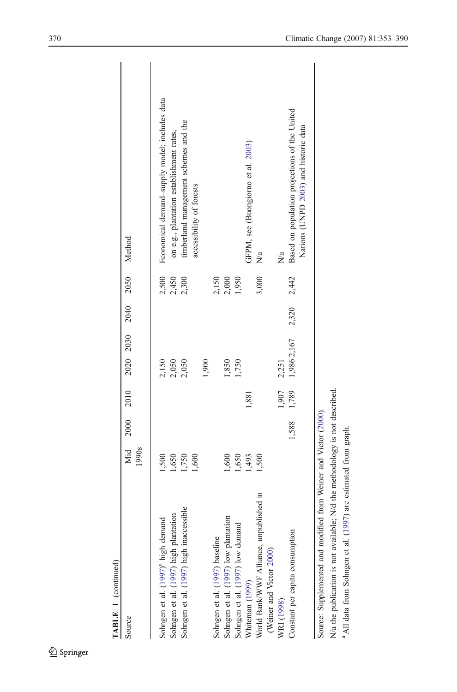| TABLE I (continued)                                                         |              |       |       |                         |       |                |                                                                                        |
|-----------------------------------------------------------------------------|--------------|-------|-------|-------------------------|-------|----------------|----------------------------------------------------------------------------------------|
| Source                                                                      | 1990s<br>Mid | 2000  | 2010  | 2030<br>2020            | 2040  | 2050           | Method                                                                                 |
| Sohngen et al. (1997) <sup>ª</sup> high demand                              | 1,500        |       |       |                         |       | 2,500          | Economical demand-supply model; includes data                                          |
| Sohngen et al. (1997) high plantation                                       | 1,650        |       |       | 2,150<br>2,050<br>2,050 |       |                | on e.g., plantation establishment rates,                                               |
| Sohngen et al. (1997) high inaccessible                                     | 1,750        |       |       |                         |       | 2,450<br>2,300 | timberland management schemes and the                                                  |
|                                                                             | 1,600        |       |       |                         |       |                | accessibility of forests                                                               |
|                                                                             |              |       |       | 1,900                   |       |                |                                                                                        |
| Sohngen et al. (1997) baseline                                              |              |       |       |                         |       | 2,150          |                                                                                        |
| Sohngen et al. (1997) low plantation                                        | 1,600        |       |       | 1,850                   |       | 2,000          |                                                                                        |
| Sohngen et al. (1997) low demand                                            | 1,650        |       |       | 1,750                   |       | 1,950          |                                                                                        |
| Whiteman (1999)                                                             | 1,493        |       | 1,881 |                         |       |                | GFPM, see (Buongiorno et al. 2003)                                                     |
| World Bank/WWF Alliance, unpublished in                                     | 1,500        |       |       |                         |       | 3,000          | $\sum_{a}$                                                                             |
| (Weiner and Victor 2000)                                                    |              |       |       |                         |       |                |                                                                                        |
| WRI (1998)                                                                  |              |       | 1,907 | 2,251                   |       |                | $\sum_{a}$                                                                             |
| Constant per capita consumption                                             |              | 1,588 | 1,789 | 1,9862,167              | 2,320 | 2,442          | Based on population projections of the United<br>Nations (UNPD 2003) and historic data |
| Source: Supplemented and modified from Weiner and Victor (2000).            |              |       |       |                         |       |                |                                                                                        |
| N/a the publication is not available; N/d the methodology is not described. |              |       |       |                         |       |                |                                                                                        |

<sup>a</sup> All data from Sohngen et al. (1997) are estimated from graph. <sup>a</sup> All data from Sohngen et al. ([1997](#page-37-0)) are estimated from graph.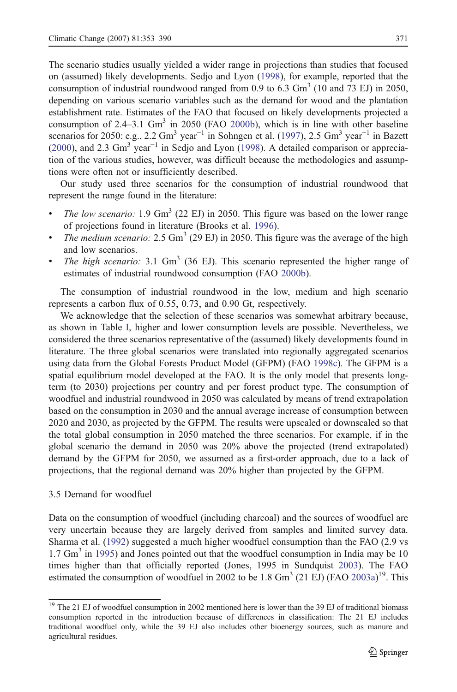<span id="page-18-0"></span>The scenario studies usually yielded a wider range in projections than studies that focused on (assumed) likely developments. Sedjo and Lyon ([1998](#page-36-0)), for example, reported that the consumption of industrial roundwood ranged from 0.9 to 6.3  $\text{Gm}^3$  (10 and 73 EJ) in 2050, depending on various scenario variables such as the demand for wood and the plantation establishment rate. Estimates of the FAO that focused on likely developments projected a consumption of 2.4–3.1 Gm<sup>3</sup> in 2050 (FAO [2000b](#page-35-0)), which is in line with other baseline scenarios for 2050: e.g., 2.2 Gm<sup>3</sup> year<sup>-1</sup> in Sohngen et al. [\(1997\)](#page-37-0), 2.5 Gm<sup>3</sup> year<sup>-1</sup> in Bazett ([2000\)](#page-35-0), and 2.3  $\text{Gm}^3$  year<sup>-1</sup> in Sedjo and Lyon [\(1998](#page-36-0)). A detailed comparison or appreciation of the various studies, however, was difficult because the methodologies and assumptions were often not or insufficiently described.

Our study used three scenarios for the consumption of industrial roundwood that represent the range found in the literature:

- *The low scenario:* 1.9 Gm<sup>3</sup> (22 EJ) in 2050. This figure was based on the lower range of projections found in literature (Brooks et al. [1996](#page-35-0)).
- *The medium scenario:* 2.5 Gm<sup>3</sup> (29 EJ) in 2050. This figure was the average of the high and low scenarios.
- The high scenario: 3.1  $\text{Gm}^3$  (36 EJ). This scenario represented the higher range of estimates of industrial roundwood consumption (FAO [2000b](#page-35-0)).

The consumption of industrial roundwood in the low, medium and high scenario represents a carbon flux of 0.55, 0.73, and 0.90 Gt, respectively.

We acknowledge that the selection of these scenarios was somewhat arbitrary because, as shown in Table [I,](#page-15-0) higher and lower consumption levels are possible. Nevertheless, we considered the three scenarios representative of the (assumed) likely developments found in literature. The three global scenarios were translated into regionally aggregated scenarios using data from the Global Forests Product Model (GFPM) (FAO [1998c\)](#page-35-0). The GFPM is a spatial equilibrium model developed at the FAO. It is the only model that presents longterm (to 2030) projections per country and per forest product type. The consumption of woodfuel and industrial roundwood in 2050 was calculated by means of trend extrapolation based on the consumption in 2030 and the annual average increase of consumption between 2020 and 2030, as projected by the GFPM. The results were upscaled or downscaled so that the total global consumption in 2050 matched the three scenarios. For example, if in the global scenario the demand in 2050 was 20% above the projected (trend extrapolated) demand by the GFPM for 2050, we assumed as a first-order approach, due to a lack of projections, that the regional demand was 20% higher than projected by the GFPM.

## 3.5 Demand for woodfuel

Data on the consumption of woodfuel (including charcoal) and the sources of woodfuel are very uncertain because they are largely derived from samples and limited survey data. Sharma et al. [\(1992](#page-36-0)) suggested a much higher woodfuel consumption than the FAO (2.9 vs  $1.7$  Gm<sup>3</sup> in [1995](#page-35-0)) and Jones pointed out that the woodfuel consumption in India may be 10 times higher than that officially reported (Jones, 1995 in Sundquist [2003\)](#page-37-0). The FAO estimated the consumption of woodfuel in 2002 to be 1.8  $\text{Gm}^3$  (21 EJ) (FAO [2003a](#page-35-0))<sup>19</sup>. This

<sup>&</sup>lt;sup>19</sup> The 21 EJ of woodfuel consumption in 2002 mentioned here is lower than the 39 EJ of traditional biomass consumption reported in the introduction because of differences in classification: The 21 EJ includes traditional woodfuel only, while the 39 EJ also includes other bioenergy sources, such as manure and agricultural residues.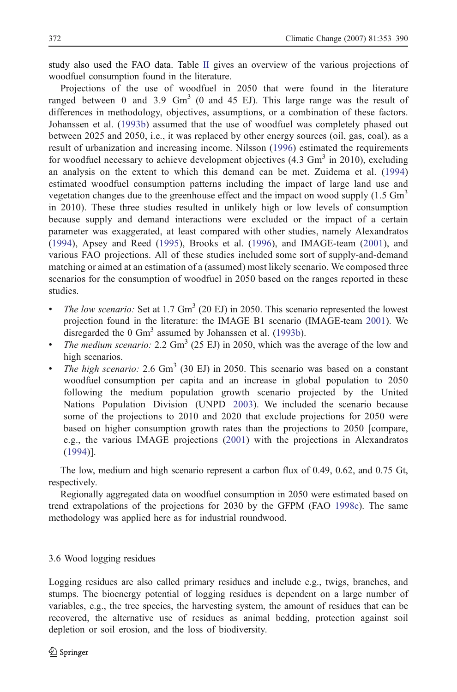<span id="page-19-0"></span>study also used the FAO data. Table [II](#page-21-0) gives an overview of the various projections of woodfuel consumption found in the literature.

Projections of the use of woodfuel in 2050 that were found in the literature ranged between 0 and 3.9  $\text{Gm}^3$  (0 and 45 EJ). This large range was the result of differences in methodology, objectives, assumptions, or a combination of these factors. Johanssen et al. [\(1993b](#page-36-0)) assumed that the use of woodfuel was completely phased out between 2025 and 2050, i.e., it was replaced by other energy sources (oil, gas, coal), as a result of urbanization and increasing income. Nilsson [\(1996\)](#page-36-0) estimated the requirements for woodfuel necessary to achieve development objectives  $(4.3 \text{ Gm}^3 \text{ in } 2010)$ , excluding an analysis on the extent to which this demand can be met. Zuidema et al. [\(1994\)](#page-37-0) estimated woodfuel consumption patterns including the impact of large land use and vegetation changes due to the greenhouse effect and the impact on wood supply  $(1.5 \text{ Gm}^3)$ in 2010). These three studies resulted in unlikely high or low levels of consumption because supply and demand interactions were excluded or the impact of a certain parameter was exaggerated, at least compared with other studies, namely Alexandratos ([1994](#page-34-0)), Apsey and Reed ([1995](#page-35-0)), Brooks et al. ([1996](#page-35-0)), and IMAGE-team ([2001\)](#page-36-0), and various FAO projections. All of these studies included some sort of supply-and-demand matching or aimed at an estimation of a (assumed) most likely scenario. We composed three scenarios for the consumption of woodfuel in 2050 based on the ranges reported in these studies.

- *The low scenario:* Set at 1.7  $\text{Gm}^3$  (20 EJ) in 2050. This scenario represented the lowest projection found in the literature: the IMAGE B1 scenario (IMAGE-team [2001](#page-36-0)). We disregarded the 0 Gm<sup>3</sup> assumed by Johanssen et al. ([1993b](#page-36-0)).
- *The medium scenario:* 2.2  $\text{Gm}^3$  (25 EJ) in 2050, which was the average of the low and high scenarios.
- The high scenario: 2.6  $\text{Gm}^3$  (30 EJ) in 2050. This scenario was based on a constant woodfuel consumption per capita and an increase in global population to 2050 following the medium population growth scenario projected by the United Nations Population Division (UNPD [2003\)](#page-37-0). We included the scenario because some of the projections to 2010 and 2020 that exclude projections for 2050 were based on higher consumption growth rates than the projections to 2050 [compare, e.g., the various IMAGE projections [\(2001\)](#page-36-0) with the projections in Alexandratos [\(1994\)](#page-34-0)].

The low, medium and high scenario represent a carbon flux of 0.49, 0.62, and 0.75 Gt, respectively.

Regionally aggregated data on woodfuel consumption in 2050 were estimated based on trend extrapolations of the projections for 2030 by the GFPM (FAO [1998c](#page-35-0)). The same methodology was applied here as for industrial roundwood.

#### 3.6 Wood logging residues

Logging residues are also called primary residues and include e.g., twigs, branches, and stumps. The bioenergy potential of logging residues is dependent on a large number of variables, e.g., the tree species, the harvesting system, the amount of residues that can be recovered, the alternative use of residues as animal bedding, protection against soil depletion or soil erosion, and the loss of biodiversity.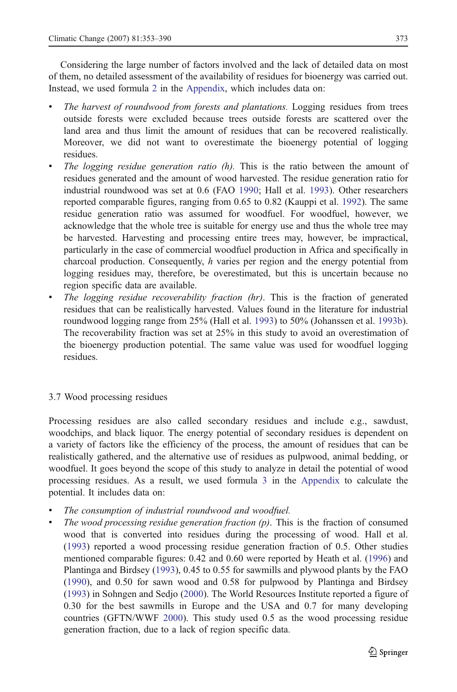<span id="page-20-0"></span>Considering the large number of factors involved and the lack of detailed data on most of them, no detailed assessment of the availability of residues for bioenergy was carried out. Instead, we used formula [2](#page-34-0) in the [Appendix](#page-34-0), which includes data on:

- The harvest of roundwood from forests and plantations. Logging residues from trees outside forests were excluded because trees outside forests are scattered over the land area and thus limit the amount of residues that can be recovered realistically. Moreover, we did not want to overestimate the bioenergy potential of logging residues.
- The logging residue generation ratio  $(h)$ . This is the ratio between the amount of residues generated and the amount of wood harvested. The residue generation ratio for industrial roundwood was set at 0.6 (FAO [1990;](#page-35-0) Hall et al. [1993\)](#page-35-0). Other researchers reported comparable figures, ranging from 0.65 to 0.82 (Kauppi et al. [1992\)](#page-36-0). The same residue generation ratio was assumed for woodfuel. For woodfuel, however, we acknowledge that the whole tree is suitable for energy use and thus the whole tree may be harvested. Harvesting and processing entire trees may, however, be impractical, particularly in the case of commercial woodfuel production in Africa and specifically in charcoal production. Consequently, h varies per region and the energy potential from logging residues may, therefore, be overestimated, but this is uncertain because no region specific data are available.
- The logging residue recoverability fraction  $(hr)$ . This is the fraction of generated residues that can be realistically harvested. Values found in the literature for industrial roundwood logging range from 25% (Hall et al. [1993\)](#page-35-0) to 50% (Johanssen et al. [1993b](#page-36-0)). The recoverability fraction was set at 25% in this study to avoid an overestimation of the bioenergy production potential. The same value was used for woodfuel logging residues.

# 3.7 Wood processing residues

Processing residues are also called secondary residues and include e.g., sawdust, woodchips, and black liquor. The energy potential of secondary residues is dependent on a variety of factors like the efficiency of the process, the amount of residues that can be realistically gathered, and the alternative use of residues as pulpwood, animal bedding, or woodfuel. It goes beyond the scope of this study to analyze in detail the potential of wood processing residues. As a result, we used formula [3](#page-34-0) in the [Appendix](#page-34-0) to calculate the potential. It includes data on:

- The consumption of industrial roundwood and woodfuel.
- The wood processing residue generation fraction  $(p)$ . This is the fraction of consumed wood that is converted into residues during the processing of wood. Hall et al. [\(1993](#page-35-0)) reported a wood processing residue generation fraction of 0.5. Other studies mentioned comparable figures: 0.42 and 0.60 were reported by Heath et al. [\(1996](#page-36-0)) and Plantinga and Birdsey ([1993\)](#page-36-0), 0.45 to 0.55 for sawmills and plywood plants by the FAO [\(1990](#page-35-0)), and 0.50 for sawn wood and 0.58 for pulpwood by Plantinga and Birdsey [\(1993](#page-36-0)) in Sohngen and Sedjo ([2000\)](#page-37-0). The World Resources Institute reported a figure of 0.30 for the best sawmills in Europe and the USA and 0.7 for many developing countries (GFTN/WWF [2000\)](#page-35-0). This study used 0.5 as the wood processing residue generation fraction, due to a lack of region specific data.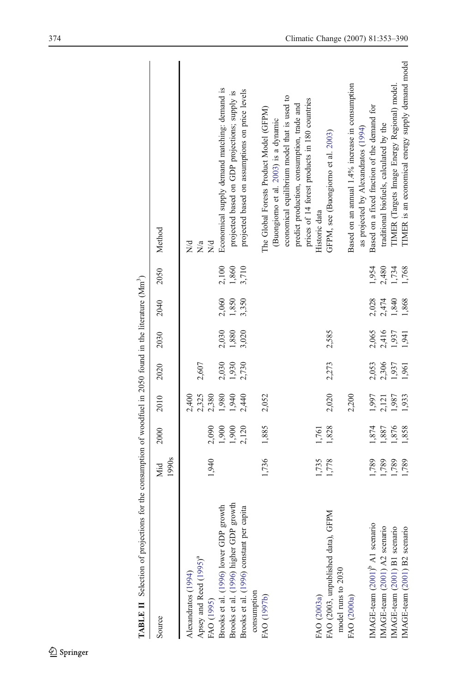<span id="page-21-0"></span>

| TURNING THE THE SCIENCE OF THE SCIENCE OF THE POST OF THE CONTROL OF THE CONTROL OF THE CONTROL OF THE CONTROL OF THE CONTROL OF THE CONTROL OF THE CONTROL OF THE CONTROL OF THE CONTROL OF THE CONTROL OF THE CONTROL OF THE |              |                |                         |                |                         |                         |                |                                                                                                                                                                                                                                |
|--------------------------------------------------------------------------------------------------------------------------------------------------------------------------------------------------------------------------------|--------------|----------------|-------------------------|----------------|-------------------------|-------------------------|----------------|--------------------------------------------------------------------------------------------------------------------------------------------------------------------------------------------------------------------------------|
| Source                                                                                                                                                                                                                         | 1990s<br>Mid | 2000           | 2010                    | 2020           | 2030                    | 2040                    | 2050           | Method                                                                                                                                                                                                                         |
| Apsey and Reed (1995) <sup>ª</sup><br>Alexandratos (1994)<br>FAO (1995)                                                                                                                                                        | 1,940        | 2,090          | 2,325<br>2,380<br>2,400 | 2,607          |                         |                         |                | N/a<br>$\sum_{i=1}^{n}$<br>$\sum_{i=1}^{n}$                                                                                                                                                                                    |
| Brooks et al. (1996) higher GDP growth<br>Brooks et al. (1996) lower GDP growth                                                                                                                                                |              | 1,900<br>1,900 | 1,980<br>1,940          | 2,030<br>1,930 | 2,030<br>1,880          | 2,060<br>1,850          | 2,100<br>1,860 | Economical supply demand matching: demand is<br>projected based on GDP projections; supply is                                                                                                                                  |
| Brooks et al. (1996) constant per capita<br>consumption                                                                                                                                                                        |              | 2,120          | 2,440                   | 2,730          | 3,020                   | 3,350                   | 3,710          | projected based on assumptions on price levels                                                                                                                                                                                 |
| FAO (1997b)                                                                                                                                                                                                                    | 1,736        | 1,885          | 2,052                   |                |                         |                         |                | economical equilibrium model that is used to<br>prices of 14 forest products in 180 countries<br>predict production, consumption, trade and<br>The Global Forests Product Model (GFPM)<br>(Buongiomo et al. 2003) is a dynamic |
| FAO (2003a)                                                                                                                                                                                                                    | 1,735        | 1,761          |                         |                |                         |                         |                | Historic data                                                                                                                                                                                                                  |
| FAO (2003, unpublished data), GFPM<br>model runs to 2030                                                                                                                                                                       | 1,778        | 1,828          | 2,020                   | 2,273          | 2,585                   |                         |                | GFPM, see (Buongiorno et al. 2003)                                                                                                                                                                                             |
| FAO (2000a)                                                                                                                                                                                                                    |              |                | 2,200                   |                |                         |                         |                | Based on an annual 1.4% increase in consumption<br>as projected by Alexandratos (1994)                                                                                                                                         |
| IMAGE-team (2001) <sup>b</sup> A1 scenario                                                                                                                                                                                     | 1,789        | 1,874          | 1,997                   | 2,053          |                         |                         | 1,954          | Based on a fixed fraction of the demand for                                                                                                                                                                                    |
| IMAGE-team (2001) A2 scenario                                                                                                                                                                                                  | 1,789        | 1,887          | 2,121                   | 2,306          | 2,065<br>2,416<br>1,937 | 2,028<br>2,474<br>1,840 | 2,480          | traditional biofuels, calculated by the                                                                                                                                                                                        |
| IMAGE-team (2001) B1 scenario                                                                                                                                                                                                  | 1,789        | 1,876          | 1,987                   | ,937           |                         |                         | 1,734          | TIMER (Targets Image Energy Regional) model.                                                                                                                                                                                   |
| IMAGE-team (2001) B2 scenario                                                                                                                                                                                                  | 1,789        | 1,858          | 1,933                   | 1,961          | 1,941                   | 1,868                   | 1,768          | TIMER is an economical energy supply demand model                                                                                                                                                                              |

motion of woodfuel in 2050 found in the literature (Mm<sup>3</sup>) TABLE II Selection of projections for the consumption of woodfuel in 2050 found in the literature (Mm3 **TARLE II** Selection of projections for the con-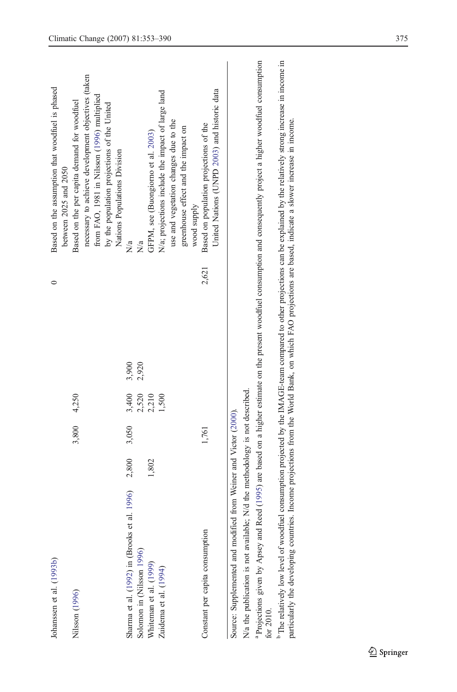| Johanssen et al. (1993b)                                                                                                                                                                                    |       |       |                |                |       | Based on the assumption that woodfuel is phased<br>between 2025 and 2050                                                                                                                                                        |
|-------------------------------------------------------------------------------------------------------------------------------------------------------------------------------------------------------------|-------|-------|----------------|----------------|-------|---------------------------------------------------------------------------------------------------------------------------------------------------------------------------------------------------------------------------------|
| Nilsson (1996)                                                                                                                                                                                              |       | 3,800 | 4,250          |                |       | necessary to achieve development objectives (taken<br>from FAO, 1981 in Nilsson (1996) multiplied<br>Based on the per capita demand for woodfuel<br>by the population projections of the United<br>Nations Populations Division |
| Sharma et al. (1992) in (Brooks et al. 1996)<br>Solomon in (Nilsson 1996)                                                                                                                                   | 2,800 | 3,050 | 3,400<br>2,520 | 3,900<br>2,920 |       | $\frac{a}{\Delta}$<br>$\overline{N}/a$                                                                                                                                                                                          |
| Whiteman et al. (1999)<br>Zuidema et al. (1994)                                                                                                                                                             | 1,802 |       | 2,210<br>1,500 |                |       | N/a; projections include the impact of large land<br>use and vegetation changes due to the<br>greenhouse effect and the impact on<br>GFPM, see (Buongiomo et al. 2003)<br>wood supply                                           |
| Constant per capita consumption                                                                                                                                                                             |       | 1,761 |                |                | 2,621 | United Nations (UNPD 2003) and historic data<br>Based on population projections of the                                                                                                                                          |
| N/a the publication is not available; N/d the methodology is not described.<br>Source: Supplemented and modified from Weiner and Victor (2000).<br><sup>a</sup> Projections given by Apsey and<br>for 2010. |       |       |                |                |       | Reed (1995) are based on a higher estimate on the present woodfuel consumption and consequently project a higher woodfuel consumption                                                                                           |

<sup>b</sup> The relatively low level of woodfuel consumption projected by the IMAGE-team compared to other projections can be explained by the relatively strong increase in income in particularly the developing countries. Income p b The relatively low level of woodfuel consumption projected by the IMAGE-team compared to other projections can be explained by the relatively strong increase in income in particularly the developing countries. Income projections from the World Bank, on which FAO projections are based, indicate a slower increase in income.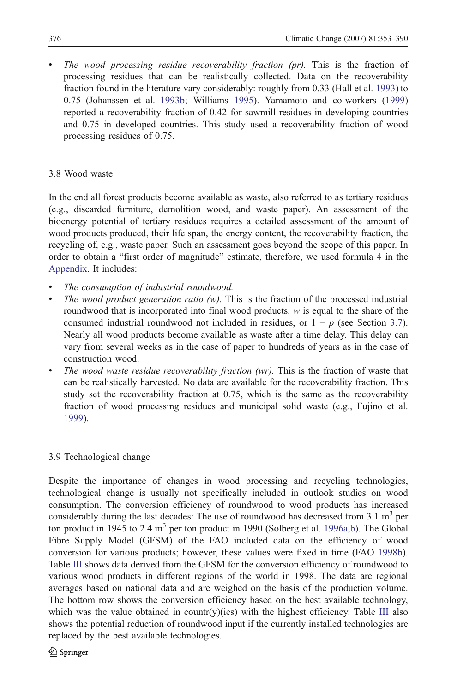<span id="page-23-0"></span>The wood processing residue recoverability fraction (pr). This is the fraction of processing residues that can be realistically collected. Data on the recoverability fraction found in the literature vary considerably: roughly from 0.33 (Hall et al. [1993](#page-35-0)) to 0.75 (Johanssen et al. [1993b;](#page-36-0) Williams [1995](#page-37-0)). Yamamoto and co-workers ([1999\)](#page-37-0) reported a recoverability fraction of 0.42 for sawmill residues in developing countries and 0.75 in developed countries. This study used a recoverability fraction of wood processing residues of 0.75.

# 3.8 Wood waste

In the end all forest products become available as waste, also referred to as tertiary residues (e.g., discarded furniture, demolition wood, and waste paper). An assessment of the bioenergy potential of tertiary residues requires a detailed assessment of the amount of wood products produced, their life span, the energy content, the recoverability fraction, the recycling of, e.g., waste paper. Such an assessment goes beyond the scope of this paper. In order to obtain a "first order of magnitude" estimate, therefore, we used formula [4](#page-34-0) in the [Appendix.](#page-34-0) It includes:

- The consumption of industrial roundwood.
- The wood product generation ratio (w). This is the fraction of the processed industrial roundwood that is incorporated into final wood products.  $w$  is equal to the share of the consumed industrial roundwood not included in residues, or  $1 - p$  (see Section [3.7](#page-20-0)). Nearly all wood products become available as waste after a time delay. This delay can vary from several weeks as in the case of paper to hundreds of years as in the case of construction wood.
- The wood waste residue recoverability fraction (wr). This is the fraction of waste that can be realistically harvested. No data are available for the recoverability fraction. This study set the recoverability fraction at 0.75, which is the same as the recoverability fraction of wood processing residues and municipal solid waste (e.g., Fujino et al. [1999](#page-35-0)).

# 3.9 Technological change

Despite the importance of changes in wood processing and recycling technologies, technological change is usually not specifically included in outlook studies on wood consumption. The conversion efficiency of roundwood to wood products has increased considerably during the last decades: The use of roundwood has decreased from  $3.1 \text{ m}^3$  per ton product in 1945 to 2.4 m<sup>3</sup> per ton product in 1990 (Solberg et al. [1996a](#page-37-0),[b\)](#page-37-0). The Global Fibre Supply Model (GFSM) of the FAO included data on the efficiency of wood conversion for various products; however, these values were fixed in time (FAO [1998b](#page-35-0)). Table [III](#page-24-0) shows data derived from the GFSM for the conversion efficiency of roundwood to various wood products in different regions of the world in 1998. The data are regional averages based on national data and are weighed on the basis of the production volume. The bottom row shows the conversion efficiency based on the best available technology, which was the value obtained in countr(y)(ies) with the highest efficiency. Table [III](#page-24-0) also shows the potential reduction of roundwood input if the currently installed technologies are replaced by the best available technologies.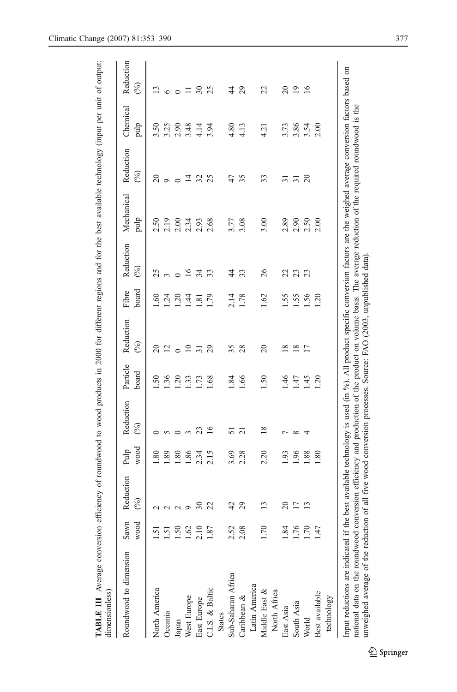<span id="page-24-0"></span>

| Roundwood to dimension       | wood<br>Sawn | Reduction<br>$(\%)$ | wood<br>Pulp    | Reduction<br>(° <sub>0</sub> ) | Particle<br>board   | Reduction<br>$($ % $)$ | board<br>Fibre   | Reduction<br>$(\%)$ | Mechanical<br>pulp | Reduction<br>(%) | Chemical<br>pulp | Reduction<br>$(\%)$      |
|------------------------------|--------------|---------------------|-----------------|--------------------------------|---------------------|------------------------|------------------|---------------------|--------------------|------------------|------------------|--------------------------|
| North America                | 51           | $\sim$              | 80              |                                | $\dot{5}$           | $\overline{c}$         | .60              | 25                  | 2.50               | ສ                | 3.50             | $\mathbf{r}$             |
| Oceania                      | 5            | $\sim$              | 89              | $\Omega$                       | 1.36                | $\overline{c}$         | 1.24             | $\infty$            | 2.19               | $\circ$          | 3.25             | $\circ$                  |
| Japan                        | .50          | $\sim$              | $\overline{80}$ | $\circ$                        | 1.20                | $\circ$                | $\overline{120}$ | $\circ$             | 2.00               | $\circ$          | 2.90             | $\circ$                  |
| West Europe                  | 1.62         | $\circ$             | .86             | $\sim$                         | 1.33                | $\overline{10}$        | $\overline{14}$  | $\overline{16}$     | 2.34               | $\overline{14}$  | 3.48             |                          |
| East Europe                  | 2.10         | 50                  | 2.34            | 23                             | $\ddot{5}$          | $\overline{5}$         | 1.81             | 34                  | 2.93               | 32               | 4.14             | $\overline{\mathcal{E}}$ |
| C.I.S. & Baltic              | 1.87         | 22                  | 2.15            | $\overline{16}$                | 1.68                | 29                     | 1.79             | 33                  | 2.68               | 25               | 3.94             | 25                       |
| <b>States</b>                |              |                     |                 |                                |                     |                        |                  |                     |                    |                  |                  |                          |
| Sub-Saharan Africa           | 2.52         | $\overline{4}$      | 3.69            | 5                              | $\ddot{\mathrm{s}}$ | 35                     | 2.14             | 4                   | 3.77               | 47               | 4.80             | 4                        |
| Caribbean &                  | 2.08         | 29                  | 2.28            | ಸ                              | 1.66                | 28                     | 1.78             | 33                  | 3.08               | 35               | 4.13             | 29                       |
| Latin America                |              |                     |                 |                                |                     |                        |                  |                     |                    |                  |                  |                          |
| Middle East &                | 1.70         | ≏                   | 2.20            | $\frac{8}{2}$                  | 1.50                | $\overline{c}$         | 1.62             | 26                  | 3.00               | 33               | 4.21             | 22                       |
| North Africa                 |              |                     |                 |                                |                     |                        |                  |                     |                    |                  |                  |                          |
| East Asia                    | 1.84         | $\overline{c}$      | 93              | ∼                              | 46                  | $\frac{8}{2}$          | 1.55             | 22                  | 2.89               | ಸ                | 3.73             | $\overline{c}$           |
| South Asia                   | 1.76         | 17                  | 96              | $\infty$                       | 1.47                | $\frac{8}{2}$          | 1.55             | 23                  | 2.90               | $\overline{5}$   | 3.86             | 19                       |
| World                        | 1.70         | 13                  | .88             | ↤                              | $-45$               | 17                     | 1.56             | 23                  | 2.50               | $\approx$        | 3.54             | 16                       |
| Best available<br>technology | 147          |                     | 80              |                                | 1.20                |                        | 1.20             |                     | 2.00               |                  | 2.00             |                          |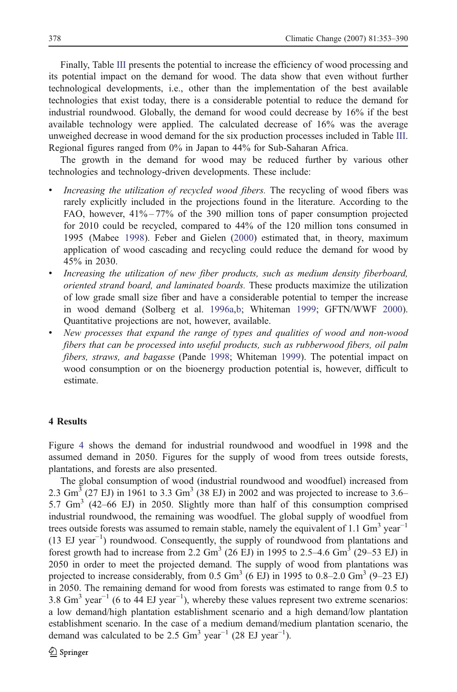Finally, Table [III](#page-24-0) presents the potential to increase the efficiency of wood processing and its potential impact on the demand for wood. The data show that even without further technological developments, i.e., other than the implementation of the best available technologies that exist today, there is a considerable potential to reduce the demand for industrial roundwood. Globally, the demand for wood could decrease by 16% if the best available technology were applied. The calculated decrease of 16% was the average unweighed decrease in wood demand for the six production processes included in Table [III](#page-24-0). Regional figures ranged from 0% in Japan to 44% for Sub-Saharan Africa.

The growth in the demand for wood may be reduced further by various other technologies and technology-driven developments. These include:

- Increasing the utilization of recycled wood fibers. The recycling of wood fibers was rarely explicitly included in the projections found in the literature. According to the FAO, however,  $41\% - 77\%$  of the 390 million tons of paper consumption projected for 2010 could be recycled, compared to 44% of the 120 million tons consumed in 1995 (Mabee [1998\)](#page-36-0). Feber and Gielen [\(2000](#page-35-0)) estimated that, in theory, maximum application of wood cascading and recycling could reduce the demand for wood by 45% in 2030.
- Increasing the utilization of new fiber products, such as medium density fiberboard, oriented strand board, and laminated boards. These products maximize the utilization of low grade small size fiber and have a considerable potential to temper the increase in wood demand (Solberg et al. [1996a,b](#page-37-0); Whiteman [1999](#page-37-0); GFTN/WWF [2000](#page-35-0)). Quantitative projections are not, however, available.
- New processes that expand the range of types and qualities of wood and non-wood fibers that can be processed into useful products, such as rubberwood fibers, oil palm fibers, straws, and bagasse (Pande [1998;](#page-36-0) Whiteman [1999](#page-37-0)). The potential impact on wood consumption or on the bioenergy production potential is, however, difficult to estimate.

#### 4 Results

Figure [4](#page-26-0) shows the demand for industrial roundwood and woodfuel in 1998 and the assumed demand in 2050. Figures for the supply of wood from trees outside forests, plantations, and forests are also presented.

The global consumption of wood (industrial roundwood and woodfuel) increased from 2.3 Gm<sup>3</sup> (27 EJ) in 1961 to 3.3 Gm<sup>3</sup> (38 EJ) in 2002 and was projected to increase to 3.6– 5.7 Gm<sup>3</sup> (42–66 EJ) in 2050. Slightly more than half of this consumption comprised industrial roundwood, the remaining was woodfuel. The global supply of woodfuel from trees outside forests was assumed to remain stable, namely the equivalent of 1.1  $\text{Gm}^3$  year<sup>-1</sup> (13 EJ year−<sup>1</sup> ) roundwood. Consequently, the supply of roundwood from plantations and forest growth had to increase from 2.2 Gm<sup>3</sup> (26 EJ) in 1995 to 2.5–4.6 Gm<sup>3</sup> (29–53 EJ) in 2050 in order to meet the projected demand. The supply of wood from plantations was projected to increase considerably, from 0.5 Gm<sup>3</sup> (6 EJ) in 1995 to 0.8–2.0 Gm<sup>3</sup> (9–23 EJ) in 2050. The remaining demand for wood from forests was estimated to range from 0.5 to 3.8 Gm<sup>3</sup> year<sup>-1</sup> (6 to 44 EJ year<sup>-1</sup>), whereby these values represent two extreme scenarios: a low demand/high plantation establishment scenario and a high demand/low plantation establishment scenario. In the case of a medium demand/medium plantation scenario, the demand was calculated to be 2.5  $\text{Gm}^3 \text{ year}^{-1}$  (28 EJ year<sup>-1</sup>).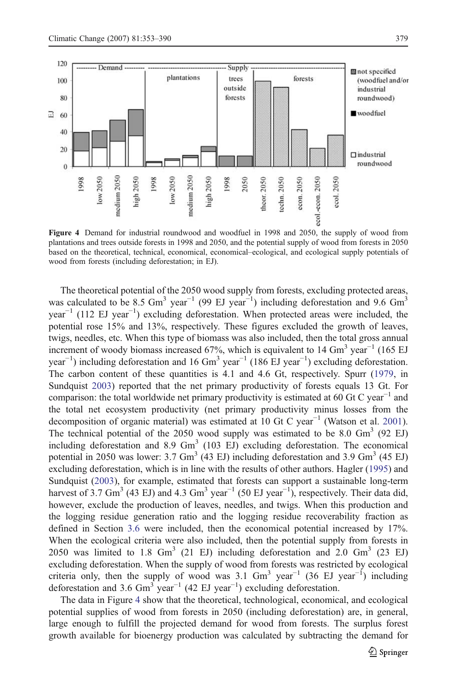<span id="page-26-0"></span>

Figure 4 Demand for industrial roundwood and woodfuel in 1998 and 2050, the supply of wood from plantations and trees outside forests in 1998 and 2050, and the potential supply of wood from forests in 2050 based on the theoretical, technical, economical, economical–ecological, and ecological supply potentials of wood from forests (including deforestation; in EJ).

The theoretical potential of the 2050 wood supply from forests, excluding protected areas, was calculated to be 8.5  $\text{Gm}^3$  year<sup>-1</sup> (99 EJ year<sup>-1</sup>) including deforestation and 9.6  $\text{Gm}^3$ year<sup>-1</sup> (112 EJ year<sup>-1</sup>) excluding deforestation. When protected areas were included, the potential rose 15% and 13%, respectively. These figures excluded the growth of leaves, twigs, needles, etc. When this type of biomass was also included, then the total gross annual increment of woody biomass increased 67%, which is equivalent to 14  $\text{Gm}^3$  year<sup>-1</sup> (165 EJ year<sup>-1</sup>) including deforestation and 16 Gm<sup>3</sup> year<sup>-1</sup> (186 EJ year<sup>-1</sup>) excluding deforestation. The carbon content of these quantities is 4.1 and 4.6 Gt, respectively. Spurr ([1979,](#page-37-0) in Sundquist [2003](#page-37-0)) reported that the net primary productivity of forests equals 13 Gt. For comparison: the total worldwide net primary productivity is estimated at 60 Gt C year<sup>-1</sup> and the total net ecosystem productivity (net primary productivity minus losses from the decomposition of organic material) was estimated at 10 Gt C year<sup>-1</sup> (Watson et al. [2001](#page-37-0)). The technical potential of the 2050 wood supply was estimated to be 8.0 Gm<sup>3</sup> (92 EJ) including deforestation and  $8.9 \text{ Gm}^3$  (103 EJ) excluding deforestation. The economical potential in 2050 was lower:  $3.7 \text{ Gm}^3$  (43 EJ) including deforestation and  $3.9 \text{ Gm}^3$  (45 EJ) excluding deforestation, which is in line with the results of other authors. Hagler ([1995\)](#page-35-0) and Sundquist ([2003\)](#page-37-0), for example, estimated that forests can support a sustainable long-term harvest of 3.7 Gm<sup>3</sup> (43 EJ) and 4.3 Gm<sup>3</sup> year<sup>-1</sup> (50 EJ year<sup>-1</sup>), respectively. Their data did, however, exclude the production of leaves, needles, and twigs. When this production and the logging residue generation ratio and the logging residue recoverability fraction as defined in Section [3.6](#page-19-0) were included, then the economical potential increased by 17%. When the ecological criteria were also included, then the potential supply from forests in 2050 was limited to 1.8  $\text{Gm}^3$  (21 EJ) including deforestation and 2.0  $\text{Gm}^3$  (23 EJ) excluding deforestation. When the supply of wood from forests was restricted by ecological criteria only, then the supply of wood was 3.1  $\text{Gm}^3$  year<sup>-1</sup> (36 EJ year<sup>-1</sup>) including deforestation and 3.6  $\text{Gm}^3 \text{ year}^{-1}$  (42 EJ year<sup>-1</sup>) excluding deforestation.

The data in Figure 4 show that the theoretical, technological, economical, and ecological potential supplies of wood from forests in 2050 (including deforestation) are, in general, large enough to fulfill the projected demand for wood from forests. The surplus forest growth available for bioenergy production was calculated by subtracting the demand for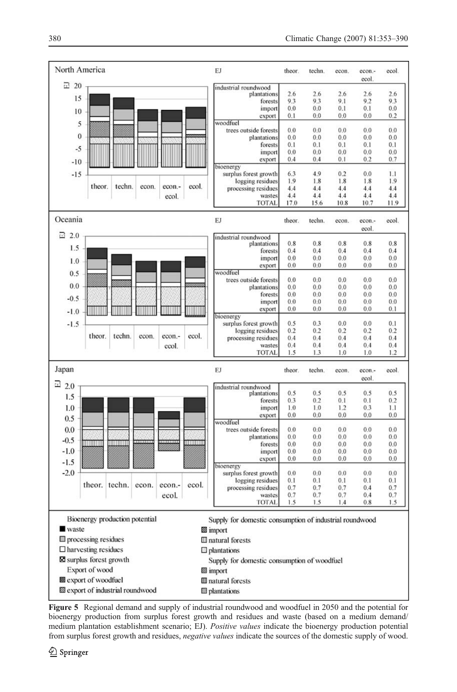<span id="page-27-0"></span>

Figure 5 Regional demand and supply of industrial roundwood and woodfuel in 2050 and the potential for bioenergy production from surplus forest growth and residues and waste (based on a medium demand/ medium plantation establishment scenario; EJ). Positive values indicate the bioenergy production potential from surplus forest growth and residues, negative values indicate the sources of the domestic supply of wood.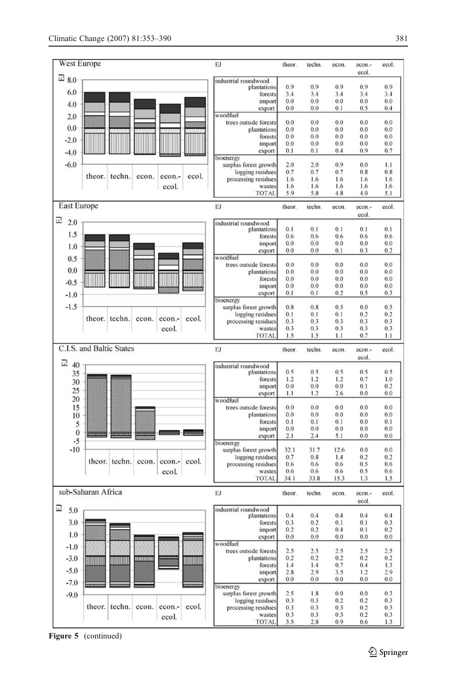

Figure 5 (continued)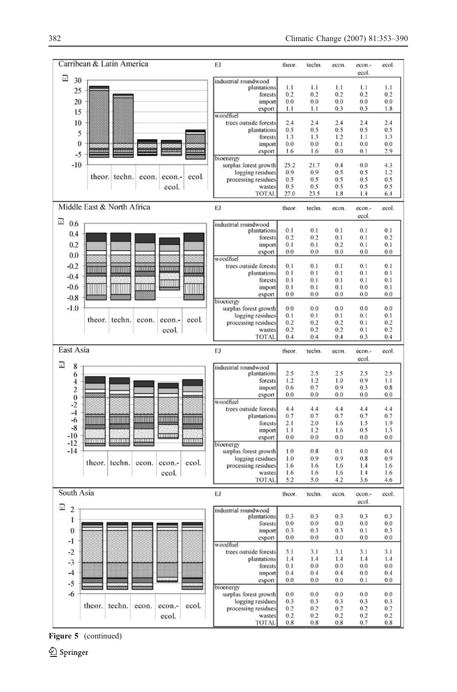

Figure 5 (continued)

 $\mathcal{Q}$  Springer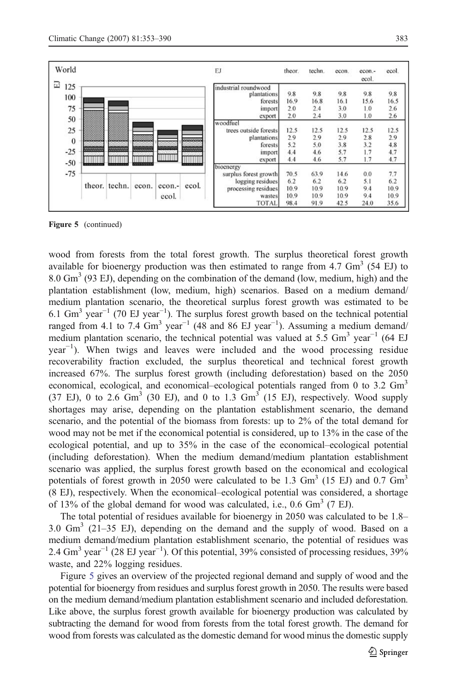

Figure 5 (continued)

wood from forests from the total forest growth. The surplus theoretical forest growth available for bioenergy production was then estimated to range from 4.7  $\text{Gm}^3$  (54 EJ) to 8.0 Gm<sup>3</sup> (93 EJ), depending on the combination of the demand (low, medium, high) and the plantation establishment (low, medium, high) scenarios. Based on a medium demand/ medium plantation scenario, the theoretical surplus forest growth was estimated to be 6.1  $\text{Gm}^3$  year<sup>-1</sup> (70 EJ year<sup>-1</sup>). The surplus forest growth based on the technical potential ranged from 4.1 to 7.4  $\text{Gm}^3$  year<sup>-1</sup> (48 and 86 EJ year<sup>-1</sup>). Assuming a medium demand/ medium plantation scenario, the technical potential was valued at 5.5  $\text{Gm}^3$  year<sup>-1</sup> (64 EJ year−<sup>1</sup> ). When twigs and leaves were included and the wood processing residue recoverability fraction excluded, the surplus theoretical and technical forest growth increased 67%. The surplus forest growth (including deforestation) based on the 2050 economical, ecological, and economical–ecological potentials ranged from 0 to 3.2  $\text{Gm}^3$ (37 EJ), 0 to 2.6  $\text{Gm}^3$  (30 EJ), and 0 to 1.3  $\text{Gm}^3$  (15 EJ), respectively. Wood supply shortages may arise, depending on the plantation establishment scenario, the demand scenario, and the potential of the biomass from forests: up to 2% of the total demand for wood may not be met if the economical potential is considered, up to 13% in the case of the ecological potential, and up to 35% in the case of the economical–ecological potential (including deforestation). When the medium demand/medium plantation establishment scenario was applied, the surplus forest growth based on the economical and ecological potentials of forest growth in 2050 were calculated to be 1.3  $\text{Gm}^3$  (15 EJ) and 0.7  $\text{Gm}^3$ (8 EJ), respectively. When the economical–ecological potential was considered, a shortage of 13% of the global demand for wood was calculated, i.e., 0.6  $\text{Gm}^3$  (7 EJ).

The total potential of residues available for bioenergy in 2050 was calculated to be 1.8– 3.0  $\text{Gm}^3$  (21–35 EJ), depending on the demand and the supply of wood. Based on a medium demand/medium plantation establishment scenario, the potential of residues was 2.4 Gm<sup>3</sup> year<sup>-1</sup> (28 EJ year<sup>-1</sup>). Of this potential, 39% consisted of processing residues, 39% waste, and 22% logging residues.

Figure [5](#page-27-0) gives an overview of the projected regional demand and supply of wood and the potential for bioenergy from residues and surplus forest growth in 2050. The results were based on the medium demand/medium plantation establishment scenario and included deforestation. Like above, the surplus forest growth available for bioenergy production was calculated by subtracting the demand for wood from forests from the total forest growth. The demand for wood from forests was calculated as the domestic demand for wood minus the domestic supply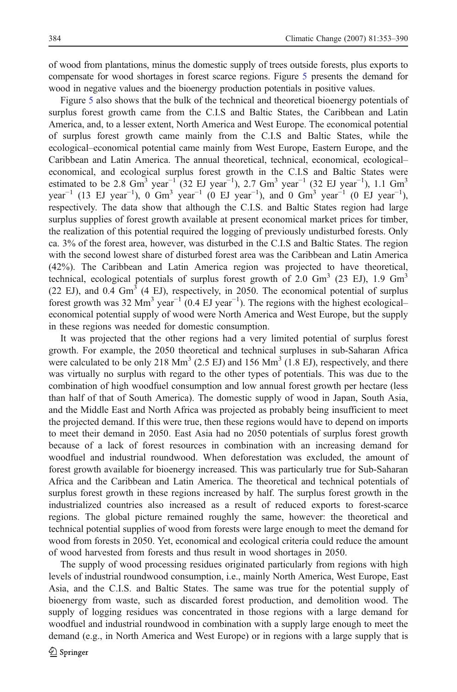of wood from plantations, minus the domestic supply of trees outside forests, plus exports to compensate for wood shortages in forest scarce regions. Figure [5](#page-27-0) presents the demand for wood in negative values and the bioenergy production potentials in positive values.

Figure [5](#page-27-0) also shows that the bulk of the technical and theoretical bioenergy potentials of surplus forest growth came from the C.I.S and Baltic States, the Caribbean and Latin America, and, to a lesser extent, North America and West Europe. The economical potential of surplus forest growth came mainly from the C.I.S and Baltic States, while the ecological–economical potential came mainly from West Europe, Eastern Europe, and the Caribbean and Latin America. The annual theoretical, technical, economical, ecological– economical, and ecological surplus forest growth in the C.I.S and Baltic States were estimated to be 2.8  $\text{Gm}^3 \text{ year}^{-1}$  (32 EJ year<sup>-1</sup>), 2.7  $\text{Gm}^3 \text{ year}^{-1}$  (32 EJ year<sup>-1</sup>), 1.1  $\text{Gm}^3$ year<sup>-1</sup> (13 EJ year<sup>-1</sup>), 0 Gm<sup>3</sup> year<sup>-1</sup> (0 EJ year<sup>-1</sup>), and 0 Gm<sup>3</sup> year<sup>-1</sup> (0 EJ year<sup>-1</sup>), respectively. The data show that although the C.I.S. and Baltic States region had large surplus supplies of forest growth available at present economical market prices for timber, the realization of this potential required the logging of previously undisturbed forests. Only ca. 3% of the forest area, however, was disturbed in the C.I.S and Baltic States. The region with the second lowest share of disturbed forest area was the Caribbean and Latin America (42%). The Caribbean and Latin America region was projected to have theoretical, technical, ecological potentials of surplus forest growth of 2.0  $\text{Gm}^3$  (23 EJ), 1.9  $\text{Gm}^3$ (22 EJ), and 0.4  $\text{Gm}^3$  (4 EJ), respectively, in 2050. The economical potential of surplus forest growth was 32 Mm<sup>3</sup> year<sup>-1</sup> (0.4 EJ year<sup>-1</sup>). The regions with the highest ecological– economical potential supply of wood were North America and West Europe, but the supply in these regions was needed for domestic consumption.

It was projected that the other regions had a very limited potential of surplus forest growth. For example, the 2050 theoretical and technical surpluses in sub-Saharan Africa were calculated to be only 218 Mm<sup>3</sup> (2.5 EJ) and 156 Mm<sup>3</sup> (1.8 EJ), respectively, and there was virtually no surplus with regard to the other types of potentials. This was due to the combination of high woodfuel consumption and low annual forest growth per hectare (less than half of that of South America). The domestic supply of wood in Japan, South Asia, and the Middle East and North Africa was projected as probably being insufficient to meet the projected demand. If this were true, then these regions would have to depend on imports to meet their demand in 2050. East Asia had no 2050 potentials of surplus forest growth because of a lack of forest resources in combination with an increasing demand for woodfuel and industrial roundwood. When deforestation was excluded, the amount of forest growth available for bioenergy increased. This was particularly true for Sub-Saharan Africa and the Caribbean and Latin America. The theoretical and technical potentials of surplus forest growth in these regions increased by half. The surplus forest growth in the industrialized countries also increased as a result of reduced exports to forest-scarce regions. The global picture remained roughly the same, however: the theoretical and technical potential supplies of wood from forests were large enough to meet the demand for wood from forests in 2050. Yet, economical and ecological criteria could reduce the amount of wood harvested from forests and thus result in wood shortages in 2050.

The supply of wood processing residues originated particularly from regions with high levels of industrial roundwood consumption, i.e., mainly North America, West Europe, East Asia, and the C.I.S. and Baltic States. The same was true for the potential supply of bioenergy from waste, such as discarded forest production, and demolition wood. The supply of logging residues was concentrated in those regions with a large demand for woodfuel and industrial roundwood in combination with a supply large enough to meet the demand (e.g., in North America and West Europe) or in regions with a large supply that is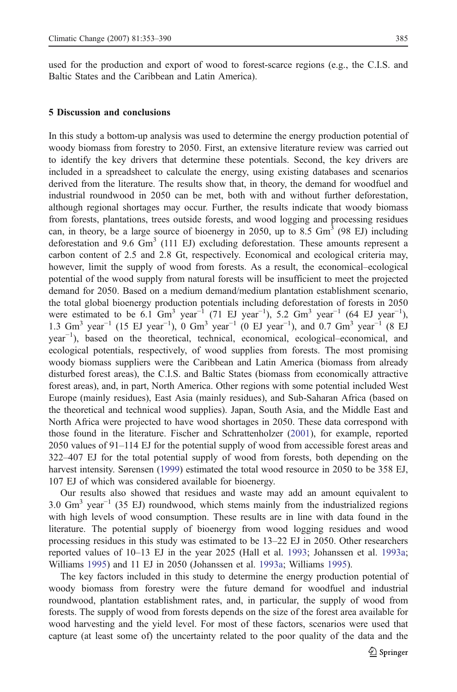used for the production and export of wood to forest-scarce regions (e.g., the C.I.S. and Baltic States and the Caribbean and Latin America).

#### 5 Discussion and conclusions

In this study a bottom-up analysis was used to determine the energy production potential of woody biomass from forestry to 2050. First, an extensive literature review was carried out to identify the key drivers that determine these potentials. Second, the key drivers are included in a spreadsheet to calculate the energy, using existing databases and scenarios derived from the literature. The results show that, in theory, the demand for woodfuel and industrial roundwood in 2050 can be met, both with and without further deforestation, although regional shortages may occur. Further, the results indicate that woody biomass from forests, plantations, trees outside forests, and wood logging and processing residues can, in theory, be a large source of bioenergy in 2050, up to 8.5  $\text{Gm}^3$  (98 EJ) including deforestation and 9.6 Gm<sup>3</sup> (111 EJ) excluding deforestation. These amounts represent a carbon content of 2.5 and 2.8 Gt, respectively. Economical and ecological criteria may, however, limit the supply of wood from forests. As a result, the economical–ecological potential of the wood supply from natural forests will be insufficient to meet the projected demand for 2050. Based on a medium demand/medium plantation establishment scenario, the total global bioenergy production potentials including deforestation of forests in 2050 were estimated to be 6.1  $\text{Gm}^3$  year<sup>-1</sup> (71 EJ year<sup>-1</sup>), 5.2  $\text{Gm}^3$  year<sup>-1</sup> (64 EJ year<sup>-1</sup>), 1.3 Gm<sup>3</sup> year<sup>-1</sup> (15 EJ year<sup>-1</sup>), 0 Gm<sup>3</sup> year<sup>-1</sup> (0 EJ year<sup>-1</sup>), and 0.7 Gm<sup>3</sup> year<sup>-1</sup> (8 EJ year−<sup>1</sup> ), based on the theoretical, technical, economical, ecological–economical, and ecological potentials, respectively, of wood supplies from forests. The most promising woody biomass suppliers were the Caribbean and Latin America (biomass from already disturbed forest areas), the C.I.S. and Baltic States (biomass from economically attractive forest areas), and, in part, North America. Other regions with some potential included West Europe (mainly residues), East Asia (mainly residues), and Sub-Saharan Africa (based on the theoretical and technical wood supplies). Japan, South Asia, and the Middle East and North Africa were projected to have wood shortages in 2050. These data correspond with those found in the literature. Fischer and Schrattenholzer ([2001](#page-35-0)), for example, reported 2050 values of 91–114 EJ for the potential supply of wood from accessible forest areas and 322–407 EJ for the total potential supply of wood from forests, both depending on the harvest intensity. Sørensen ([1999\)](#page-37-0) estimated the total wood resource in 2050 to be 358 EJ, 107 EJ of which was considered available for bioenergy.

Our results also showed that residues and waste may add an amount equivalent to 3.0 Gm3 year−<sup>1</sup> (35 EJ) roundwood, which stems mainly from the industrialized regions with high levels of wood consumption. These results are in line with data found in the literature. The potential supply of bioenergy from wood logging residues and wood processing residues in this study was estimated to be 13–22 EJ in 2050. Other researchers reported values of 10–13 EJ in the year 2025 (Hall et al. [1993](#page-35-0); Johanssen et al. [1993a](#page-36-0); Williams [1995\)](#page-37-0) and 11 EJ in 2050 (Johanssen et al. [1993a](#page-36-0); Williams [1995\)](#page-37-0).

The key factors included in this study to determine the energy production potential of woody biomass from forestry were the future demand for woodfuel and industrial roundwood, plantation establishment rates, and, in particular, the supply of wood from forests. The supply of wood from forests depends on the size of the forest area available for wood harvesting and the yield level. For most of these factors, scenarios were used that capture (at least some of) the uncertainty related to the poor quality of the data and the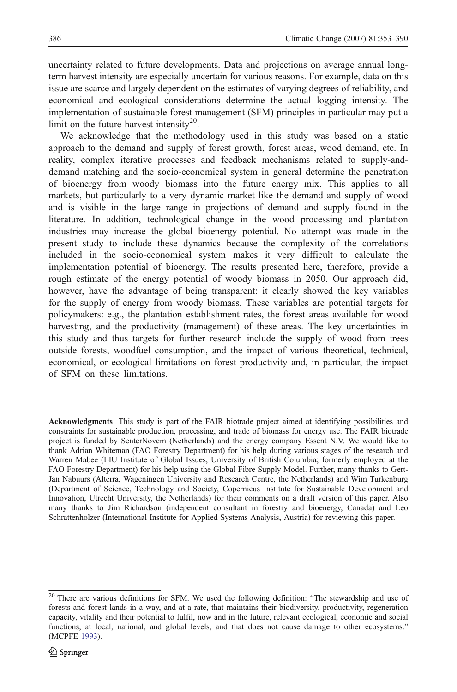uncertainty related to future developments. Data and projections on average annual longterm harvest intensity are especially uncertain for various reasons. For example, data on this issue are scarce and largely dependent on the estimates of varying degrees of reliability, and economical and ecological considerations determine the actual logging intensity. The implementation of sustainable forest management (SFM) principles in particular may put a limit on the future harvest intensity<sup>20</sup>.

We acknowledge that the methodology used in this study was based on a static approach to the demand and supply of forest growth, forest areas, wood demand, etc. In reality, complex iterative processes and feedback mechanisms related to supply-anddemand matching and the socio-economical system in general determine the penetration of bioenergy from woody biomass into the future energy mix. This applies to all markets, but particularly to a very dynamic market like the demand and supply of wood and is visible in the large range in projections of demand and supply found in the literature. In addition, technological change in the wood processing and plantation industries may increase the global bioenergy potential. No attempt was made in the present study to include these dynamics because the complexity of the correlations included in the socio-economical system makes it very difficult to calculate the implementation potential of bioenergy. The results presented here, therefore, provide a rough estimate of the energy potential of woody biomass in 2050. Our approach did, however, have the advantage of being transparent: it clearly showed the key variables for the supply of energy from woody biomass. These variables are potential targets for policymakers: e.g., the plantation establishment rates, the forest areas available for wood harvesting, and the productivity (management) of these areas. The key uncertainties in this study and thus targets for further research include the supply of wood from trees outside forests, woodfuel consumption, and the impact of various theoretical, technical, economical, or ecological limitations on forest productivity and, in particular, the impact of SFM on these limitations.

Acknowledgments This study is part of the FAIR biotrade project aimed at identifying possibilities and constraints for sustainable production, processing, and trade of biomass for energy use. The FAIR biotrade project is funded by SenterNovem (Netherlands) and the energy company Essent N.V. We would like to thank Adrian Whiteman (FAO Forestry Department) for his help during various stages of the research and Warren Mabee (LIU Institute of Global Issues, University of British Columbia; formerly employed at the FAO Forestry Department) for his help using the Global Fibre Supply Model. Further, many thanks to Gert-Jan Nabuurs (Alterra, Wageningen University and Research Centre, the Netherlands) and Wim Turkenburg (Department of Science, Technology and Society, Copernicus Institute for Sustainable Development and Innovation, Utrecht University, the Netherlands) for their comments on a draft version of this paper. Also many thanks to Jim Richardson (independent consultant in forestry and bioenergy, Canada) and Leo Schrattenholzer (International Institute for Applied Systems Analysis, Austria) for reviewing this paper.

<sup>&</sup>lt;sup>20</sup> There are various definitions for SFM. We used the following definition: "The stewardship and use of forests and forest lands in a way, and at a rate, that maintains their biodiversity, productivity, regeneration capacity, vitality and their potential to fulfil, now and in the future, relevant ecological, economic and social functions, at local, national, and global levels, and that does not cause damage to other ecosystems." (MCPFE [1993\)](#page-36-0).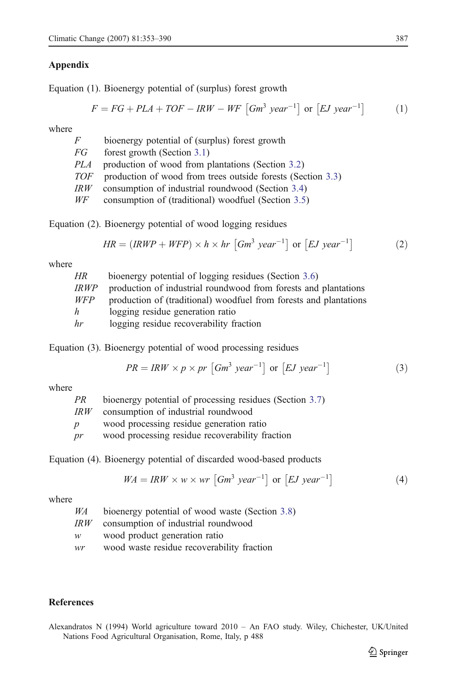## <span id="page-34-0"></span>Appendix

Equation (1). Bioenergy potential of (surplus) forest growth

$$
F = FG + PLA + TOF - IRW - WF \left[ Gm^3 \ year^{-1} \right] \text{ or } \left[ EJ \ year^{-1} \right] \tag{1}
$$

where

| F   | bioenergy potential of (surplus) forest growth              |
|-----|-------------------------------------------------------------|
| FG  | forest growth (Section $3.1$ )                              |
| PLA | production of wood from plantations (Section 3.2)           |
| TOF | production of wood from trees outside forests (Section 3.3) |
| IRW | consumption of industrial roundwood (Section 3.4)           |
| WF  | consumption of (traditional) woodfuel (Section 3.5)         |

Equation (2). Bioenergy potential of wood logging residues

$$
HR = (IRWP + WFP) \times h \times hr \left[ Gm^3 \ year^{-1} \right] \text{ or } \left[ EJ \ year^{-1} \right] \tag{2}
$$

where

| HR          | bioenergy potential of logging residues (Section 3.6)             |
|-------------|-------------------------------------------------------------------|
| <i>IRWP</i> | production of industrial roundwood from forests and plantations   |
| WFP         | production of (traditional) woodfuel from forests and plantations |
| h           | logging residue generation ratio                                  |
| hr          | logging residue recoverability fraction                           |

Equation (3). Bioenergy potential of wood processing residues

$$
PR = IRW \times p \times pr \left[ Gm^{3} \text{ year}^{-1} \right] \text{ or } \left[ EJ \text{ year}^{-1} \right] \tag{3}
$$

where

PR bioenergy potential of processing residues (Section [3.7](#page-20-0)) IRW consumption of industrial roundwood p wood processing residue generation ratio pr wood processing residue recoverability fraction

Equation (4). Bioenergy potential of discarded wood-based products

$$
WA = IRW \times w \times wr \left[ Gm^3 \ year^{-1} \right] \text{ or } \left[ EJ \ year^{-1} \right] \tag{4}
$$

where

WA bioenergy potential of wood waste (Section [3.8](#page-23-0)) IRW consumption of industrial roundwood w wood product generation ratio wr wood waste residue recoverability fraction

## References

Alexandratos N (1994) World agriculture toward 2010 – An FAO study. Wiley, Chichester, UK/United Nations Food Agricultural Organisation, Rome, Italy, p 488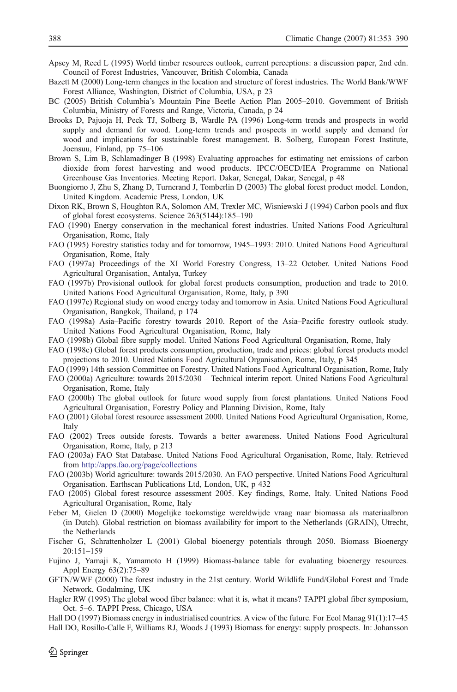- <span id="page-35-0"></span>Apsey M, Reed L (1995) World timber resources outlook, current perceptions: a discussion paper, 2nd edn. Council of Forest Industries, Vancouver, British Colombia, Canada
- Bazett M (2000) Long-term changes in the location and structure of forest industries. The World Bank/WWF Forest Alliance, Washington, District of Columbia, USA, p 23
- BC (2005) British Columbia's Mountain Pine Beetle Action Plan 2005–2010. Government of British Columbia, Ministry of Forests and Range, Victoria, Canada, p 24
- Brooks D, Pajuoja H, Peck TJ, Solberg B, Wardle PA (1996) Long-term trends and prospects in world supply and demand for wood. Long-term trends and prospects in world supply and demand for wood and implications for sustainable forest management. B. Solberg, European Forest Institute, Joensuu, Finland, pp 75–106
- Brown S, Lim B, Schlamadinger B (1998) Evaluating approaches for estimating net emissions of carbon dioxide from forest harvesting and wood products. IPCC/OECD/IEA Programme on National Greenhouse Gas Inventories. Meeting Report. Dakar, Senegal, Dakar, Senegal, p 48
- Buongiorno J, Zhu S, Zhang D, Turnerand J, Tomberlin D (2003) The global forest product model. London, United Kingdom. Academic Press, London, UK
- Dixon RK, Brown S, Houghton RA, Solomon AM, Trexler MC, Wisniewski J (1994) Carbon pools and flux of global forest ecosystems. Science 263(5144):185–190
- FAO (1990) Energy conservation in the mechanical forest industries. United Nations Food Agricultural Organisation, Rome, Italy
- FAO (1995) Forestry statistics today and for tomorrow, 1945–1993: 2010. United Nations Food Agricultural Organisation, Rome, Italy
- FAO (1997a) Proceedings of the XI World Forestry Congress, 13–22 October. United Nations Food Agricultural Organisation, Antalya, Turkey
- FAO (1997b) Provisional outlook for global forest products consumption, production and trade to 2010. United Nations Food Agricultural Organisation, Rome, Italy, p 390
- FAO (1997c) Regional study on wood energy today and tomorrow in Asia. United Nations Food Agricultural Organisation, Bangkok, Thailand, p 174
- FAO (1998a) Asia–Pacific forestry towards 2010. Report of the Asia–Pacific forestry outlook study. United Nations Food Agricultural Organisation, Rome, Italy
- FAO (1998b) Global fibre supply model. United Nations Food Agricultural Organisation, Rome, Italy
- FAO (1998c) Global forest products consumption, production, trade and prices: global forest products model projections to 2010. United Nations Food Agricultural Organisation, Rome, Italy, p 345
- FAO (1999) 14th session Committee on Forestry. United Nations Food Agricultural Organisation, Rome, Italy FAO (2000a) Agriculture: towards 2015/2030 – Technical interim report. United Nations Food Agricultural Organisation, Rome, Italy
- FAO (2000b) The global outlook for future wood supply from forest plantations. United Nations Food Agricultural Organisation, Forestry Policy and Planning Division, Rome, Italy
- FAO (2001) Global forest resource assessment 2000. United Nations Food Agricultural Organisation, Rome, Italy
- FAO (2002) Trees outside forests. Towards a better awareness. United Nations Food Agricultural Organisation, Rome, Italy, p 213
- FAO (2003a) FAO Stat Database. United Nations Food Agricultural Organisation, Rome, Italy. Retrieved from <http://apps.fao.org/page/collections>
- FAO (2003b) World agriculture: towards 2015/2030. An FAO perspective. United Nations Food Agricultural Organisation. Earthscan Publications Ltd, London, UK, p 432
- FAO (2005) Global forest resource assessment 2005. Key findings, Rome, Italy. United Nations Food Agricultural Organisation, Rome, Italy
- Feber M, Gielen D (2000) Mogelijke toekomstige wereldwijde vraag naar biomassa als materiaalbron (in Dutch). Global restriction on biomass availability for import to the Netherlands (GRAIN), Utrecht, the Netherlands
- Fischer G, Schrattenholzer L (2001) Global bioenergy potentials through 2050. Biomass Bioenergy 20:151–159
- Fujino J, Yamaji K, Yamamoto H (1999) Biomass-balance table for evaluating bioenergy resources. Appl Energy 63(2):75–89
- GFTN/WWF (2000) The forest industry in the 21st century. World Wildlife Fund/Global Forest and Trade Network, Godalming, UK
- Hagler RW (1995) The global wood fiber balance: what it is, what it means? TAPPI global fiber symposium, Oct. 5–6. TAPPI Press, Chicago, USA
- Hall DO (1997) Biomass energy in industrialised countries. A view of the future. For Ecol Manag 91(1):17–45 Hall DO, Rosillo-Calle F, Williams RJ, Woods J (1993) Biomass for energy: supply prospects. In: Johansson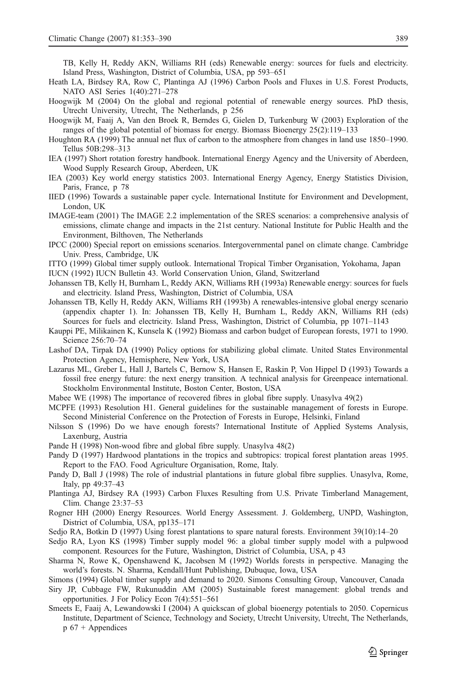<span id="page-36-0"></span>TB, Kelly H, Reddy AKN, Williams RH (eds) Renewable energy: sources for fuels and electricity. Island Press, Washington, District of Columbia, USA, pp 593–651

- Heath LA, Birdsey RA, Row C, Plantinga AJ (1996) Carbon Pools and Fluxes in U.S. Forest Products, NATO ASI Series 1(40):271–278
- Hoogwijk M (2004) On the global and regional potential of renewable energy sources. PhD thesis, Utrecht University, Utrecht, The Netherlands, p 256
- Hoogwijk M, Faaij A, Van den Broek R, Berndes G, Gielen D, Turkenburg W (2003) Exploration of the ranges of the global potential of biomass for energy. Biomass Bioenergy 25(2):119–133
- Houghton RA (1999) The annual net flux of carbon to the atmosphere from changes in land use 1850–1990. Tellus 50B:298–313
- IEA (1997) Short rotation forestry handbook. International Energy Agency and the University of Aberdeen, Wood Supply Research Group, Aberdeen, UK
- IEA (2003) Key world energy statistics 2003. International Energy Agency, Energy Statistics Division, Paris, France, p 78
- IIED (1996) Towards a sustainable paper cycle. International Institute for Environment and Development, London, UK
- IMAGE-team (2001) The IMAGE 2.2 implementation of the SRES scenarios: a comprehensive analysis of emissions, climate change and impacts in the 21st century. National Institute for Public Health and the Environment, Bilthoven, The Netherlands
- IPCC (2000) Special report on emissions scenarios. Intergovernmental panel on climate change. Cambridge Univ. Press, Cambridge, UK
- ITTO (1999) Global timer supply outlook. International Tropical Timber Organisation, Yokohama, Japan

IUCN (1992) IUCN Bulletin 43. World Conservation Union, Gland, Switzerland

- Johanssen TB, Kelly H, Burnham L, Reddy AKN, Williams RH (1993a) Renewable energy: sources for fuels and electricity. Island Press, Washington, District of Columbia, USA
- Johanssen TB, Kelly H, Reddy AKN, Williams RH (1993b) A renewables-intensive global energy scenario (appendix chapter 1). In: Johanssen TB, Kelly H, Burnham L, Reddy AKN, Williams RH (eds) Sources for fuels and electricity. Island Press, Washington, District of Columbia, pp 1071–1143
- Kauppi PE, Milikainen K, Kunsela K (1992) Biomass and carbon budget of European forests, 1971 to 1990. Science 256:70–74
- Lashof DA, Tirpak DA (1990) Policy options for stabilizing global climate. United States Environmental Protection Agency, Hemisphere, New York, USA
- Lazarus ML, Greber L, Hall J, Bartels C, Bernow S, Hansen E, Raskin P, Von Hippel D (1993) Towards a fossil free energy future: the next energy transition. A technical analysis for Greenpeace international. Stockholm Environmental Institute, Boston Center, Boston, USA
- Mabee WE (1998) The importance of recovered fibres in global fibre supply. Unasylva 49(2)
- MCPFE (1993) Resolution H1. General guidelines for the sustainable management of forests in Europe. Second Ministerial Conference on the Protection of Forests in Europe, Helsinki, Finland
- Nilsson S (1996) Do we have enough forests? International Institute of Applied Systems Analysis, Laxenburg, Austria
- Pande H (1998) Non-wood fibre and global fibre supply. Unasylva 48(2)
- Pandy D (1997) Hardwood plantations in the tropics and subtropics: tropical forest plantation areas 1995. Report to the FAO. Food Agriculture Organisation, Rome, Italy.
- Pandy D, Ball J (1998) The role of industrial plantations in future global fibre supplies. Unasylva, Rome, Italy, pp 49:37–43
- Plantinga AJ, Birdsey RA (1993) Carbon Fluxes Resulting from U.S. Private Timberland Management, Clim. Change 23:37–53
- Rogner HH (2000) Energy Resources. World Energy Assessment. J. Goldemberg, UNPD, Washington, District of Columbia, USA, pp135–171
- Sedjo RA, Botkin D (1997) Using forest plantations to spare natural forests. Environment 39(10):14–20
- Sedjo RA, Lyon KS (1998) Timber supply model 96: a global timber supply model with a pulpwood component. Resources for the Future, Washington, District of Columbia, USA, p 43
- Sharma N, Rowe K, Openshawend K, Jacobsen M (1992) Worlds forests in perspective. Managing the world's forests. N. Sharma, Kendall/Hunt Publishing, Dubuque, Iowa, USA
- Simons (1994) Global timber supply and demand to 2020. Simons Consulting Group, Vancouver, Canada
- Siry JP, Cubbage FW, Rukunuddin AM (2005) Sustainable forest management: global trends and opportunities. J For Policy Econ 7(4):551–561
- Smeets E, Faaij A, Lewandowski I (2004) A quickscan of global bioenergy potentials to 2050. Copernicus Institute, Department of Science, Technology and Society, Utrecht University, Utrecht, The Netherlands,  $p 67 + Appendices$